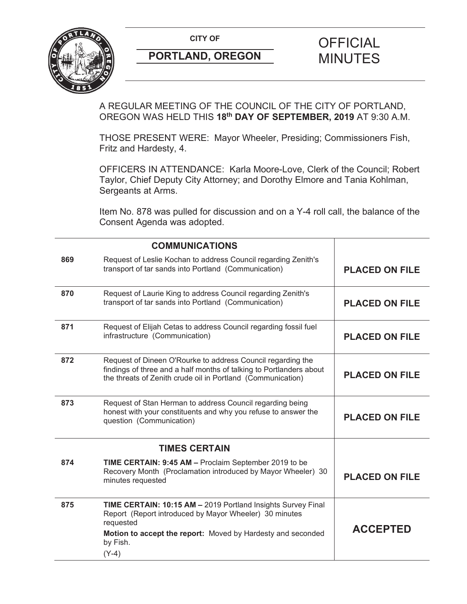

A REGULAR MEETING OF THE COUNCIL OF THE CITY OF PORTLAND, OREGON WAS HELD THIS **18th DAY OF SEPTEMBER, 2019** AT 9:30 A.M.

THOSE PRESENT WERE: Mayor Wheeler, Presiding; Commissioners Fish, Fritz and Hardesty, 4.

OFFICERS IN ATTENDANCE: Karla Moore-Love, Clerk of the Council; Robert Taylor, Chief Deputy City Attorney; and Dorothy Elmore and Tania Kohlman, Sergeants at Arms.

Item No. 878 was pulled for discussion and on a Y-4 roll call, the balance of the Consent Agenda was adopted.

|     | <b>COMMUNICATIONS</b>                                                                                                                                                                                                     |                       |
|-----|---------------------------------------------------------------------------------------------------------------------------------------------------------------------------------------------------------------------------|-----------------------|
| 869 | Request of Leslie Kochan to address Council regarding Zenith's<br>transport of tar sands into Portland (Communication)                                                                                                    | <b>PLACED ON FILE</b> |
| 870 | Request of Laurie King to address Council regarding Zenith's<br>transport of tar sands into Portland (Communication)                                                                                                      | <b>PLACED ON FILE</b> |
| 871 | Request of Elijah Cetas to address Council regarding fossil fuel<br>infrastructure (Communication)                                                                                                                        | <b>PLACED ON FILE</b> |
| 872 | Request of Dineen O'Rourke to address Council regarding the<br>findings of three and a half months of talking to Portlanders about<br>the threats of Zenith crude oil in Portland (Communication)                         | <b>PLACED ON FILE</b> |
| 873 | Request of Stan Herman to address Council regarding being<br>honest with your constituents and why you refuse to answer the<br>question (Communication)                                                                   | <b>PLACED ON FILE</b> |
|     | <b>TIMES CERTAIN</b>                                                                                                                                                                                                      |                       |
| 874 | TIME CERTAIN: 9:45 AM - Proclaim September 2019 to be<br>Recovery Month (Proclamation introduced by Mayor Wheeler) 30<br>minutes requested                                                                                | <b>PLACED ON FILE</b> |
| 875 | TIME CERTAIN: 10:15 AM - 2019 Portland Insights Survey Final<br>Report (Report introduced by Mayor Wheeler) 30 minutes<br>requested<br>Motion to accept the report: Moved by Hardesty and seconded<br>by Fish.<br>$(Y-4)$ | <b>ACCEPTED</b>       |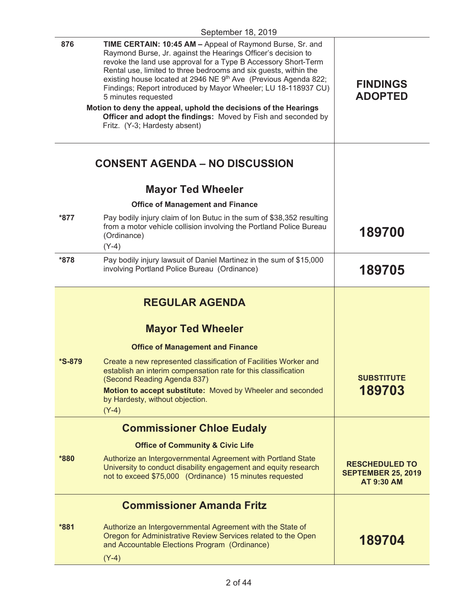| Raymond Burse, Jr. against the Hearings Officer's decision to<br>revoke the land use approval for a Type B Accessory Short-Term<br>Rental use, limited to three bedrooms and six guests, within the<br>existing house located at 2946 NE 9th Ave (Previous Agenda 822;<br><b>FINDINGS</b><br>Findings; Report introduced by Mayor Wheeler; LU 18-118937 CU)<br><b>ADOPTED</b><br>5 minutes requested<br>Motion to deny the appeal, uphold the decisions of the Hearings<br>Officer and adopt the findings: Moved by Fish and seconded by<br>Fritz. (Y-3; Hardesty absent)<br><b>CONSENT AGENDA - NO DISCUSSION</b><br><b>Mayor Ted Wheeler</b><br><b>Office of Management and Finance</b><br>Pay bodily injury claim of Ion Butuc in the sum of \$38,352 resulting<br>from a motor vehicle collision involving the Portland Police Bureau<br>189700<br>(Ordinance)<br>$(Y-4)$<br>Pay bodily injury lawsuit of Daniel Martinez in the sum of \$15,000<br>involving Portland Police Bureau (Ordinance)<br>189705<br><b>REGULAR AGENDA</b><br><b>Mayor Ted Wheeler</b><br><b>Office of Management and Finance</b><br>Create a new represented classification of Facilities Worker and<br>establish an interim compensation rate for this classification<br><b>SUBSTITUTE</b><br>(Second Reading Agenda 837)<br>189703<br>Motion to accept substitute: Moved by Wheeler and seconded<br>by Hardesty, without objection.<br>$(Y-4)$<br><b>Commissioner Chloe Eudaly</b><br><b>Office of Community &amp; Civic Life</b><br>Authorize an Intergovernmental Agreement with Portland State<br>University to conduct disability engagement and equity research<br>not to exceed \$75,000 (Ordinance) 15 minutes requested<br><b>AT 9:30 AM</b><br><b>Commissioner Amanda Fritz</b> |                      | September 18, 2019                                        |  |
|--------------------------------------------------------------------------------------------------------------------------------------------------------------------------------------------------------------------------------------------------------------------------------------------------------------------------------------------------------------------------------------------------------------------------------------------------------------------------------------------------------------------------------------------------------------------------------------------------------------------------------------------------------------------------------------------------------------------------------------------------------------------------------------------------------------------------------------------------------------------------------------------------------------------------------------------------------------------------------------------------------------------------------------------------------------------------------------------------------------------------------------------------------------------------------------------------------------------------------------------------------------------------------------------------------------------------------------------------------------------------------------------------------------------------------------------------------------------------------------------------------------------------------------------------------------------------------------------------------------------------------------------------------------------------------------------------------------------------------------------------------------------------|----------------------|-----------------------------------------------------------|--|
| <b>RESCHEDULED TO</b><br><b>SEPTEMBER 25, 2019</b>                                                                                                                                                                                                                                                                                                                                                                                                                                                                                                                                                                                                                                                                                                                                                                                                                                                                                                                                                                                                                                                                                                                                                                                                                                                                                                                                                                                                                                                                                                                                                                                                                                                                                                                       | 876                  | TIME CERTAIN: 10:45 AM - Appeal of Raymond Burse, Sr. and |  |
|                                                                                                                                                                                                                                                                                                                                                                                                                                                                                                                                                                                                                                                                                                                                                                                                                                                                                                                                                                                                                                                                                                                                                                                                                                                                                                                                                                                                                                                                                                                                                                                                                                                                                                                                                                          |                      |                                                           |  |
|                                                                                                                                                                                                                                                                                                                                                                                                                                                                                                                                                                                                                                                                                                                                                                                                                                                                                                                                                                                                                                                                                                                                                                                                                                                                                                                                                                                                                                                                                                                                                                                                                                                                                                                                                                          |                      |                                                           |  |
|                                                                                                                                                                                                                                                                                                                                                                                                                                                                                                                                                                                                                                                                                                                                                                                                                                                                                                                                                                                                                                                                                                                                                                                                                                                                                                                                                                                                                                                                                                                                                                                                                                                                                                                                                                          |                      |                                                           |  |
|                                                                                                                                                                                                                                                                                                                                                                                                                                                                                                                                                                                                                                                                                                                                                                                                                                                                                                                                                                                                                                                                                                                                                                                                                                                                                                                                                                                                                                                                                                                                                                                                                                                                                                                                                                          |                      |                                                           |  |
|                                                                                                                                                                                                                                                                                                                                                                                                                                                                                                                                                                                                                                                                                                                                                                                                                                                                                                                                                                                                                                                                                                                                                                                                                                                                                                                                                                                                                                                                                                                                                                                                                                                                                                                                                                          | $*877$               |                                                           |  |
|                                                                                                                                                                                                                                                                                                                                                                                                                                                                                                                                                                                                                                                                                                                                                                                                                                                                                                                                                                                                                                                                                                                                                                                                                                                                                                                                                                                                                                                                                                                                                                                                                                                                                                                                                                          | *878                 |                                                           |  |
|                                                                                                                                                                                                                                                                                                                                                                                                                                                                                                                                                                                                                                                                                                                                                                                                                                                                                                                                                                                                                                                                                                                                                                                                                                                                                                                                                                                                                                                                                                                                                                                                                                                                                                                                                                          |                      |                                                           |  |
|                                                                                                                                                                                                                                                                                                                                                                                                                                                                                                                                                                                                                                                                                                                                                                                                                                                                                                                                                                                                                                                                                                                                                                                                                                                                                                                                                                                                                                                                                                                                                                                                                                                                                                                                                                          |                      |                                                           |  |
|                                                                                                                                                                                                                                                                                                                                                                                                                                                                                                                                                                                                                                                                                                                                                                                                                                                                                                                                                                                                                                                                                                                                                                                                                                                                                                                                                                                                                                                                                                                                                                                                                                                                                                                                                                          |                      |                                                           |  |
|                                                                                                                                                                                                                                                                                                                                                                                                                                                                                                                                                                                                                                                                                                                                                                                                                                                                                                                                                                                                                                                                                                                                                                                                                                                                                                                                                                                                                                                                                                                                                                                                                                                                                                                                                                          | <i><b>*S-879</b></i> |                                                           |  |
|                                                                                                                                                                                                                                                                                                                                                                                                                                                                                                                                                                                                                                                                                                                                                                                                                                                                                                                                                                                                                                                                                                                                                                                                                                                                                                                                                                                                                                                                                                                                                                                                                                                                                                                                                                          |                      |                                                           |  |
|                                                                                                                                                                                                                                                                                                                                                                                                                                                                                                                                                                                                                                                                                                                                                                                                                                                                                                                                                                                                                                                                                                                                                                                                                                                                                                                                                                                                                                                                                                                                                                                                                                                                                                                                                                          |                      |                                                           |  |
|                                                                                                                                                                                                                                                                                                                                                                                                                                                                                                                                                                                                                                                                                                                                                                                                                                                                                                                                                                                                                                                                                                                                                                                                                                                                                                                                                                                                                                                                                                                                                                                                                                                                                                                                                                          |                      |                                                           |  |
|                                                                                                                                                                                                                                                                                                                                                                                                                                                                                                                                                                                                                                                                                                                                                                                                                                                                                                                                                                                                                                                                                                                                                                                                                                                                                                                                                                                                                                                                                                                                                                                                                                                                                                                                                                          | *880                 |                                                           |  |
|                                                                                                                                                                                                                                                                                                                                                                                                                                                                                                                                                                                                                                                                                                                                                                                                                                                                                                                                                                                                                                                                                                                                                                                                                                                                                                                                                                                                                                                                                                                                                                                                                                                                                                                                                                          |                      |                                                           |  |

**\*881** Authorize an Intergovernmental Agreement with the State of Oregon for Administrative Review Services related to the Open and Accountable Elections Program (Ordinance) (Y-4) **189704**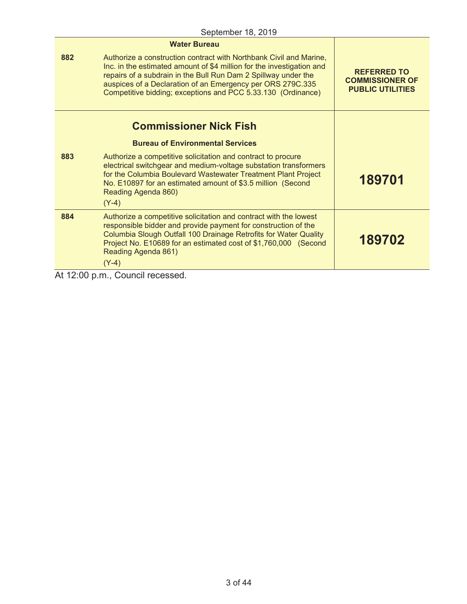|                                         | <b>Water Bureau</b>                                                                                                                                                                                                                                                                                                                         |                                                                         |
|-----------------------------------------|---------------------------------------------------------------------------------------------------------------------------------------------------------------------------------------------------------------------------------------------------------------------------------------------------------------------------------------------|-------------------------------------------------------------------------|
| 882                                     | Authorize a construction contract with Northbank Civil and Marine,<br>Inc. in the estimated amount of \$4 million for the investigation and<br>repairs of a subdrain in the Bull Run Dam 2 Spillway under the<br>auspices of a Declaration of an Emergency per ORS 279C.335<br>Competitive bidding; exceptions and PCC 5.33.130 (Ordinance) | <b>REFERRED TO</b><br><b>COMMISSIONER OF</b><br><b>PUBLIC UTILITIES</b> |
|                                         | <b>Commissioner Nick Fish</b>                                                                                                                                                                                                                                                                                                               |                                                                         |
| <b>Bureau of Environmental Services</b> |                                                                                                                                                                                                                                                                                                                                             |                                                                         |
| 883                                     | Authorize a competitive solicitation and contract to procure<br>electrical switchgear and medium-voltage substation transformers<br>for the Columbia Boulevard Wastewater Treatment Plant Project<br>No. E10897 for an estimated amount of \$3.5 million (Second<br>Reading Agenda 860)<br>$(Y-4)$                                          | 189701                                                                  |
| 884                                     | Authorize a competitive solicitation and contract with the lowest<br>responsible bidder and provide payment for construction of the<br>Columbia Slough Outfall 100 Drainage Retrofits for Water Quality<br>Project No. E10689 for an estimated cost of \$1,760,000 (Second<br>Reading Agenda 861)<br>$(Y-4)$                                | 189702                                                                  |

At 12:00 p.m., Council recessed.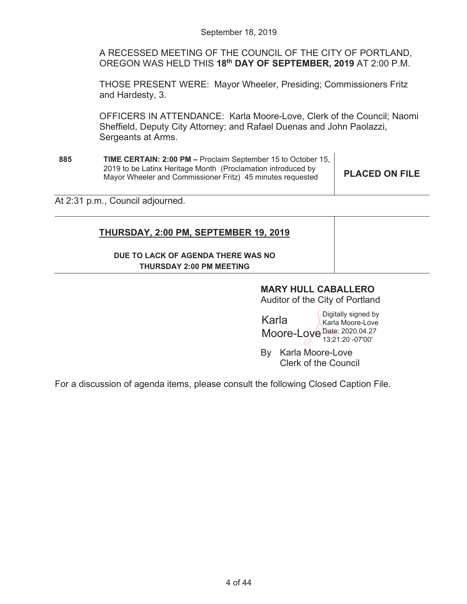A RECESSED MEETING OF THE COUNCIL OF THE CITY OF PORTLAND, OREGON WAS HELD THIS **18th DAY OF SEPTEMBER, 2019** AT 2:00 P.M.

THOSE PRESENT WERE: Mayor Wheeler, Presiding; Commissioners Fritz and Hardesty, 3.

OFFICERS IN ATTENDANCE: Karla Moore-Love, Clerk of the Council; Naomi Sheffield, Deputy City Attorney; and Rafael Duenas and John Paolazzi, Sergeants at Arms.

| 885 | <b>TIME CERTAIN: 2:00 PM - Proclaim September 15 to October 15,</b> |                       |
|-----|---------------------------------------------------------------------|-----------------------|
|     | 2019 to be Latinx Heritage Month (Proclamation introduced by        |                       |
|     | Mayor Wheeler and Commissioner Fritz) 45 minutes requested          | <b>PLACED ON FILE</b> |

At 2:31 p.m., Council adjourned.

## **THURSDAY, 2:00 PM, SEPTEMBER 19, 2019**

## **DUE TO LACK OF AGENDA THERE WAS NO THURSDAY 2:00 PM MEETING**

# **MARY HULL CABALLERO**

Auditor of the City of Portland

Karla Moore-Loye Date: 2020.04.27 Digitally signed by Karla Moore-Love 13:21:20 -07'00'

By Karla Moore-Love Clerk of the Council

For a discussion of agenda items, please consult the following Closed Caption File.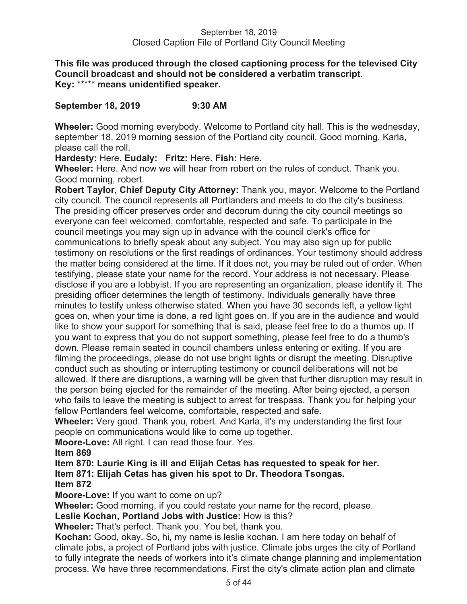**This file was produced through the closed captioning process for the televised City Council broadcast and should not be considered a verbatim transcript. Key:** \*\*\*\*\* **means unidentified speaker.** 

## **September 18, 2019 9:30 AM**

**Wheeler:** Good morning everybody. Welcome to Portland city hall. This is the wednesday, september 18, 2019 morning session of the Portland city council. Good morning, Karla, please call the roll.

**Hardesty:** Here. **Eudaly: Fritz:** Here. **Fish:** Here.

**Wheeler:** Here. And now we will hear from robert on the rules of conduct. Thank you. Good morning, robert.

**Robert Taylor, Chief Deputy City Attorney:** Thank you, mayor. Welcome to the Portland city council. The council represents all Portlanders and meets to do the city's business. The presiding officer preserves order and decorum during the city council meetings so everyone can feel welcomed, comfortable, respected and safe. To participate in the council meetings you may sign up in advance with the council clerk's office for communications to briefly speak about any subject. You may also sign up for public testimony on resolutions or the first readings of ordinances. Your testimony should address the matter being considered at the time. If it does not, you may be ruled out of order. When testifying, please state your name for the record. Your address is not necessary. Please disclose if you are a lobbyist. If you are representing an organization, please identify it. The presiding officer determines the length of testimony. Individuals generally have three minutes to testify unless otherwise stated. When you have 30 seconds left, a yellow light goes on, when your time is done, a red light goes on. If you are in the audience and would like to show your support for something that is said, please feel free to do a thumbs up. If you want to express that you do not support something, please feel free to do a thumb's down. Please remain seated in council chambers unless entering or exiting. If you are filming the proceedings, please do not use bright lights or disrupt the meeting. Disruptive conduct such as shouting or interrupting testimony or council deliberations will not be allowed. If there are disruptions, a warning will be given that further disruption may result in the person being ejected for the remainder of the meeting. After being ejected, a person who fails to leave the meeting is subject to arrest for trespass. Thank you for helping your fellow Portlanders feel welcome, comfortable, respected and safe.

**Wheeler:** Very good. Thank you, robert. And Karla, it's my understanding the first four people on communications would like to come up together.

**Moore-Love:** All right. I can read those four. Yes.

**Item 869** 

**Item 870: Laurie King is ill and Elijah Cetas has requested to speak for her. Item 871: Elijah Cetas has given his spot to Dr. Theodora Tsongas.** 

**Item 872** 

**Moore-Love:** If you want to come on up?

**Wheeler:** Good morning, if you could restate your name for the record, please.

**Leslie Kochan, Portland Jobs with Justice:** How is this?

**Wheeler:** That's perfect. Thank you. You bet, thank you.

**Kochan:** Good, okay. So, hi, my name is leslie kochan. I am here today on behalf of climate jobs, a project of Portland jobs with justice. Climate jobs urges the city of Portland to fully integrate the needs of workers into it's climate change planning and implementation process. We have three recommendations. First the city's climate action plan and climate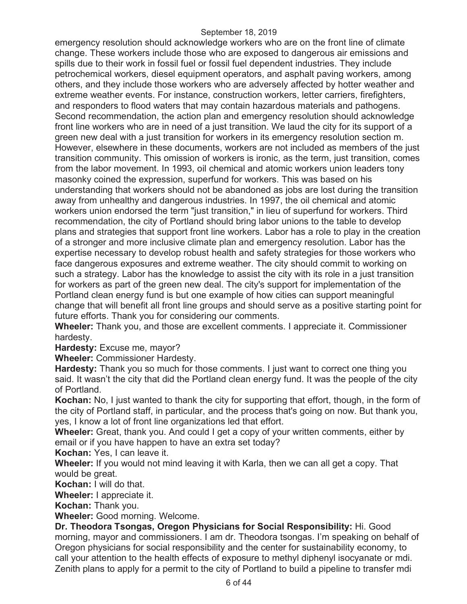emergency resolution should acknowledge workers who are on the front line of climate change. These workers include those who are exposed to dangerous air emissions and spills due to their work in fossil fuel or fossil fuel dependent industries. They include petrochemical workers, diesel equipment operators, and asphalt paving workers, among others, and they include those workers who are adversely affected by hotter weather and extreme weather events. For instance, construction workers, letter carriers, firefighters, and responders to flood waters that may contain hazardous materials and pathogens. Second recommendation, the action plan and emergency resolution should acknowledge front line workers who are in need of a just transition. We laud the city for its support of a green new deal with a just transition for workers in its emergency resolution section m. However, elsewhere in these documents, workers are not included as members of the just transition community. This omission of workers is ironic, as the term, just transition, comes from the labor movement. In 1993, oil chemical and atomic workers union leaders tony masonky coined the expression, superfund for workers. This was based on his understanding that workers should not be abandoned as jobs are lost during the transition away from unhealthy and dangerous industries. In 1997, the oil chemical and atomic workers union endorsed the term "just transition," in lieu of superfund for workers. Third recommendation, the city of Portland should bring labor unions to the table to develop plans and strategies that support front line workers. Labor has a role to play in the creation of a stronger and more inclusive climate plan and emergency resolution. Labor has the expertise necessary to develop robust health and safety strategies for those workers who face dangerous exposures and extreme weather. The city should commit to working on such a strategy. Labor has the knowledge to assist the city with its role in a just transition for workers as part of the green new deal. The city's support for implementation of the Portland clean energy fund is but one example of how cities can support meaningful change that will benefit all front line groups and should serve as a positive starting point for future efforts. Thank you for considering our comments.

**Wheeler:** Thank you, and those are excellent comments. I appreciate it. Commissioner hardesty.

**Hardesty:** Excuse me, mayor?

**Wheeler:** Commissioner Hardesty.

**Hardesty:** Thank you so much for those comments. I just want to correct one thing you said. It wasn't the city that did the Portland clean energy fund. It was the people of the city of Portland.

**Kochan:** No, I just wanted to thank the city for supporting that effort, though, in the form of the city of Portland staff, in particular, and the process that's going on now. But thank you, yes, I know a lot of front line organizations led that effort.

**Wheeler:** Great, thank you. And could I get a copy of your written comments, either by email or if you have happen to have an extra set today?

**Kochan:** Yes, I can leave it.

**Wheeler:** If you would not mind leaving it with Karla, then we can all get a copy. That would be great.

**Kochan:** I will do that.

**Wheeler:** I appreciate it.

**Kochan:** Thank you.

**Wheeler:** Good morning. Welcome.

**Dr. Theodora Tsongas, Oregon Physicians for Social Responsibility:** Hi. Good morning, mayor and commissioners. I am dr. Theodora tsongas. I'm speaking on behalf of Oregon physicians for social responsibility and the center for sustainability economy, to call your attention to the health effects of exposure to methyl diphenyl isocyanate or mdi. Zenith plans to apply for a permit to the city of Portland to build a pipeline to transfer mdi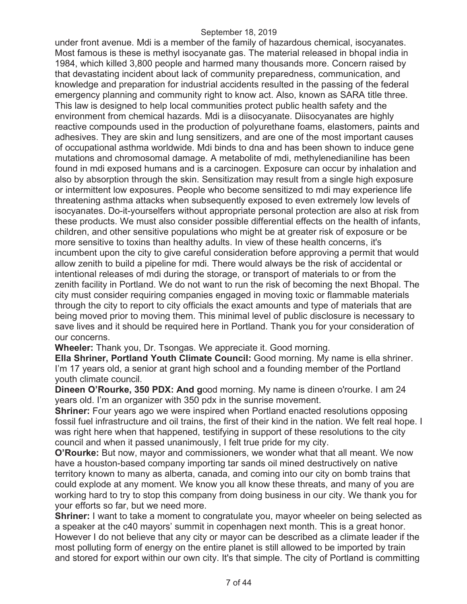under front avenue. Mdi is a member of the family of hazardous chemical, isocyanates. Most famous is these is methyl isocyanate gas. The material released in bhopal india in 1984, which killed 3,800 people and harmed many thousands more. Concern raised by that devastating incident about lack of community preparedness, communication, and knowledge and preparation for industrial accidents resulted in the passing of the federal emergency planning and community right to know act. Also, known as SARA title three. This law is designed to help local communities protect public health safety and the environment from chemical hazards. Mdi is a diisocyanate. Diisocyanates are highly reactive compounds used in the production of polyurethane foams, elastomers, paints and adhesives. They are skin and lung sensitizers, and are one of the most important causes of occupational asthma worldwide. Mdi binds to dna and has been shown to induce gene mutations and chromosomal damage. A metabolite of mdi, methylenedianiline has been found in mdi exposed humans and is a carcinogen. Exposure can occur by inhalation and also by absorption through the skin. Sensitization may result from a single high exposure or intermittent low exposures. People who become sensitized to mdi may experience life threatening asthma attacks when subsequently exposed to even extremely low levels of isocyanates. Do-it-yourselfers without appropriate personal protection are also at risk from these products. We must also consider possible differential effects on the health of infants, children, and other sensitive populations who might be at greater risk of exposure or be more sensitive to toxins than healthy adults. In view of these health concerns, it's incumbent upon the city to give careful consideration before approving a permit that would allow zenith to build a pipeline for mdi. There would always be the risk of accidental or intentional releases of mdi during the storage, or transport of materials to or from the zenith facility in Portland. We do not want to run the risk of becoming the next Bhopal. The city must consider requiring companies engaged in moving toxic or flammable materials through the city to report to city officials the exact amounts and type of materials that are being moved prior to moving them. This minimal level of public disclosure is necessary to save lives and it should be required here in Portland. Thank you for your consideration of our concerns.

**Wheeler:** Thank you, Dr. Tsongas. We appreciate it. Good morning.

**Ella Shriner, Portland Youth Climate Council:** Good morning. My name is ella shriner. I'm 17 years old, a senior at grant high school and a founding member of the Portland youth climate council.

**Dineen O'Rourke, 350 PDX: And g**ood morning. My name is dineen o'rourke. I am 24 years old. I'm an organizer with 350 pdx in the sunrise movement.

**Shriner:** Four years ago we were inspired when Portland enacted resolutions opposing fossil fuel infrastructure and oil trains, the first of their kind in the nation. We felt real hope. I was right here when that happened, testifying in support of these resolutions to the city council and when it passed unanimously, I felt true pride for my city.

**O'Rourke:** But now, mayor and commissioners, we wonder what that all meant. We now have a houston-based company importing tar sands oil mined destructively on native territory known to many as alberta, canada, and coming into our city on bomb trains that could explode at any moment. We know you all know these threats, and many of you are working hard to try to stop this company from doing business in our city. We thank you for your efforts so far, but we need more.

**Shriner:** I want to take a moment to congratulate you, mayor wheeler on being selected as a speaker at the c40 mayors' summit in copenhagen next month. This is a great honor. However I do not believe that any city or mayor can be described as a climate leader if the most polluting form of energy on the entire planet is still allowed to be imported by train and stored for export within our own city. It's that simple. The city of Portland is committing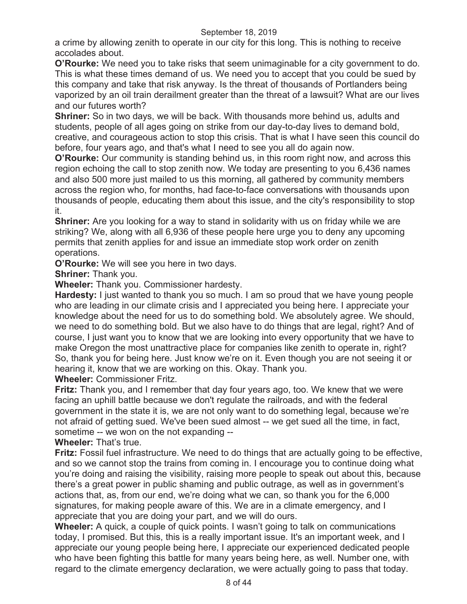a crime by allowing zenith to operate in our city for this long. This is nothing to receive accolades about.

**O'Rourke:** We need you to take risks that seem unimaginable for a city government to do. This is what these times demand of us. We need you to accept that you could be sued by this company and take that risk anyway. Is the threat of thousands of Portlanders being vaporized by an oil train derailment greater than the threat of a lawsuit? What are our lives and our futures worth?

**Shriner:** So in two days, we will be back. With thousands more behind us, adults and students, people of all ages going on strike from our day-to-day lives to demand bold, creative, and courageous action to stop this crisis. That is what I have seen this council do before, four years ago, and that's what I need to see you all do again now.

**O'Rourke:** Our community is standing behind us, in this room right now, and across this region echoing the call to stop zenith now. We today are presenting to you 6,436 names and also 500 more just mailed to us this morning, all gathered by community members across the region who, for months, had face-to-face conversations with thousands upon thousands of people, educating them about this issue, and the city's responsibility to stop it.

**Shriner:** Are you looking for a way to stand in solidarity with us on friday while we are striking? We, along with all 6,936 of these people here urge you to deny any upcoming permits that zenith applies for and issue an immediate stop work order on zenith operations.

**O'Rourke:** We will see you here in two days.

**Shriner:** Thank you.

**Wheeler:** Thank you. Commissioner hardesty.

**Hardesty:** I just wanted to thank you so much. I am so proud that we have young people who are leading in our climate crisis and I appreciated you being here. I appreciate your knowledge about the need for us to do something bold. We absolutely agree. We should, we need to do something bold. But we also have to do things that are legal, right? And of course, I just want you to know that we are looking into every opportunity that we have to make Oregon the most unattractive place for companies like zenith to operate in, right? So, thank you for being here. Just know we're on it. Even though you are not seeing it or hearing it, know that we are working on this. Okay. Thank you.

**Wheeler:** Commissioner Fritz.

**Fritz:** Thank you, and I remember that day four years ago, too. We knew that we were facing an uphill battle because we don't regulate the railroads, and with the federal government in the state it is, we are not only want to do something legal, because we're not afraid of getting sued. We've been sued almost -- we get sued all the time, in fact, sometime -- we won on the not expanding --

**Wheeler:** That's true.

**Fritz:** Fossil fuel infrastructure. We need to do things that are actually going to be effective, and so we cannot stop the trains from coming in. I encourage you to continue doing what you're doing and raising the visibility, raising more people to speak out about this, because there's a great power in public shaming and public outrage, as well as in government's actions that, as, from our end, we're doing what we can, so thank you for the 6,000 signatures, for making people aware of this. We are in a climate emergency, and I appreciate that you are doing your part, and we will do ours.

**Wheeler:** A quick, a couple of quick points. I wasn't going to talk on communications today, I promised. But this, this is a really important issue. It's an important week, and I appreciate our young people being here, I appreciate our experienced dedicated people who have been fighting this battle for many years being here, as well. Number one, with regard to the climate emergency declaration, we were actually going to pass that today.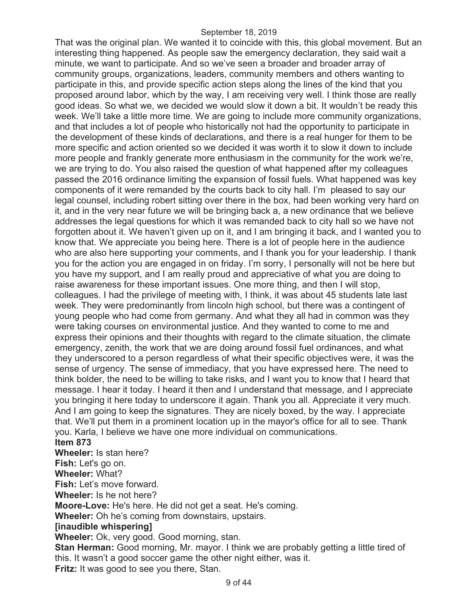That was the original plan. We wanted it to coincide with this, this global movement. But an interesting thing happened. As people saw the emergency declaration, they said wait a minute, we want to participate. And so we've seen a broader and broader array of community groups, organizations, leaders, community members and others wanting to participate in this, and provide specific action steps along the lines of the kind that you proposed around labor, which by the way, I am receiving very well. I think those are really good ideas. So what we, we decided we would slow it down a bit. It wouldn't be ready this week. We'll take a little more time. We are going to include more community organizations, and that includes a lot of people who historically not had the opportunity to participate in the development of these kinds of declarations, and there is a real hunger for them to be more specific and action oriented so we decided it was worth it to slow it down to include more people and frankly generate more enthusiasm in the community for the work we're, we are trying to do. You also raised the question of what happened after my colleagues passed the 2016 ordinance limiting the expansion of fossil fuels. What happened was key components of it were remanded by the courts back to city hall. I'm pleased to say our legal counsel, including robert sitting over there in the box, had been working very hard on it, and in the very near future we will be bringing back a, a new ordinance that we believe addresses the legal questions for which it was remanded back to city hall so we have not forgotten about it. We haven't given up on it, and I am bringing it back, and I wanted you to know that. We appreciate you being here. There is a lot of people here in the audience who are also here supporting your comments, and I thank you for your leadership. I thank you for the action you are engaged in on friday. I'm sorry, I personally will not be here but you have my support, and I am really proud and appreciative of what you are doing to raise awareness for these important issues. One more thing, and then I will stop, colleagues. I had the privilege of meeting with, I think, it was about 45 students late last week. They were predominantly from lincoln high school, but there was a contingent of young people who had come from germany. And what they all had in common was they were taking courses on environmental justice. And they wanted to come to me and express their opinions and their thoughts with regard to the climate situation, the climate emergency, zenith, the work that we are doing around fossil fuel ordinances, and what they underscored to a person regardless of what their specific objectives were, it was the sense of urgency. The sense of immediacy, that you have expressed here. The need to think bolder, the need to be willing to take risks, and I want you to know that I heard that message. I hear it today. I heard it then and I understand that message, and I appreciate you bringing it here today to underscore it again. Thank you all. Appreciate it very much. And I am going to keep the signatures. They are nicely boxed, by the way. I appreciate that. We'll put them in a prominent location up in the mayor's office for all to see. Thank you. Karla, I believe we have one more individual on communications.

**Item 873** 

**Wheeler:** Is stan here?

**Fish:** Let's go on.

**Wheeler:** What?

**Fish:** Let's move forward.

**Wheeler:** Is he not here?

**Moore-Love:** He's here. He did not get a seat. He's coming.

**Wheeler:** Oh he's coming from downstairs, upstairs.

#### **[inaudible whispering]**

**Wheeler:** Ok, very good. Good morning, stan.

**Stan Herman:** Good morning, Mr. mayor. I think we are probably getting a little tired of this. It wasn't a good soccer game the other night either, was it.

**Fritz:** It was good to see you there, Stan.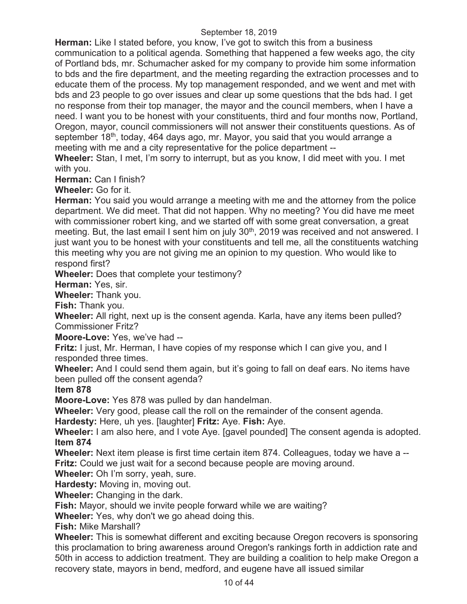**Herman:** Like I stated before, you know, I've got to switch this from a business communication to a political agenda. Something that happened a few weeks ago, the city of Portland bds, mr. Schumacher asked for my company to provide him some information to bds and the fire department, and the meeting regarding the extraction processes and to educate them of the process. My top management responded, and we went and met with bds and 23 people to go over issues and clear up some questions that the bds had. I get no response from their top manager, the mayor and the council members, when I have a need. I want you to be honest with your constituents, third and four months now, Portland, Oregon, mayor, council commissioners will not answer their constituents questions. As of september 18<sup>th</sup>, today, 464 days ago, mr. Mayor, you said that you would arrange a meeting with me and a city representative for the police department --

**Wheeler:** Stan, I met, I'm sorry to interrupt, but as you know, I did meet with you. I met with you.

**Herman:** Can I finish?

**Wheeler:** Go for it.

**Herman:** You said you would arrange a meeting with me and the attorney from the police department. We did meet. That did not happen. Why no meeting? You did have me meet with commissioner robert king, and we started off with some great conversation, a great meeting. But, the last email I sent him on july 30<sup>th</sup>, 2019 was received and not answered. I just want you to be honest with your constituents and tell me, all the constituents watching this meeting why you are not giving me an opinion to my question. Who would like to respond first?

**Wheeler:** Does that complete your testimony?

**Herman:** Yes, sir.

**Wheeler:** Thank you.

**Fish:** Thank you.

**Wheeler:** All right, next up is the consent agenda. Karla, have any items been pulled? Commissioner Fritz?

**Moore-Love:** Yes, we've had --

**Fritz:** I just, Mr. Herman, I have copies of my response which I can give you, and I responded three times.

**Wheeler:** And I could send them again, but it's going to fall on deaf ears. No items have been pulled off the consent agenda?

**Item 878** 

**Moore-Love:** Yes 878 was pulled by dan handelman.

**Wheeler:** Very good, please call the roll on the remainder of the consent agenda.

**Hardesty:** Here, uh yes. [laughter] **Fritz:** Aye. **Fish:** Aye.

**Wheeler:** I am also here, and I vote Aye. [gavel pounded] The consent agenda is adopted. **Item 874** 

**Wheeler:** Next item please is first time certain item 874. Colleagues, today we have a -- **Fritz:** Could we just wait for a second because people are moving around.

**Wheeler:** Oh I'm sorry, yeah, sure.

**Hardesty:** Moving in, moving out.

**Wheeler:** Changing in the dark.

**Fish:** Mayor, should we invite people forward while we are waiting?

**Wheeler:** Yes, why don't we go ahead doing this.

**Fish:** Mike Marshall?

**Wheeler:** This is somewhat different and exciting because Oregon recovers is sponsoring this proclamation to bring awareness around Oregon's rankings forth in addiction rate and 50th in access to addiction treatment. They are building a coalition to help make Oregon a recovery state, mayors in bend, medford, and eugene have all issued similar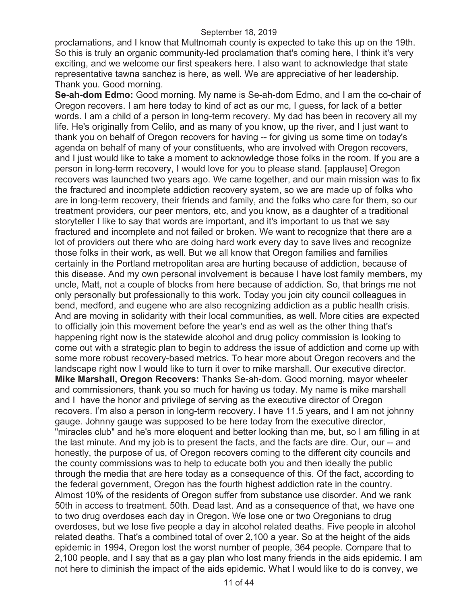proclamations, and I know that Multnomah county is expected to take this up on the 19th. So this is truly an organic community-led proclamation that's coming here, I think it's very exciting, and we welcome our first speakers here. I also want to acknowledge that state representative tawna sanchez is here, as well. We are appreciative of her leadership. Thank you. Good morning.

**Se-ah-dom Edmo:** Good morning. My name is Se-ah-dom Edmo, and I am the co-chair of Oregon recovers. I am here today to kind of act as our mc, I guess, for lack of a better words. I am a child of a person in long-term recovery. My dad has been in recovery all my life. He's originally from Celilo, and as many of you know, up the river, and I just want to thank you on behalf of Oregon recovers for having -- for giving us some time on today's agenda on behalf of many of your constituents, who are involved with Oregon recovers, and I just would like to take a moment to acknowledge those folks in the room. If you are a person in long-term recovery, I would love for you to please stand. [applause] Oregon recovers was launched two years ago. We came together, and our main mission was to fix the fractured and incomplete addiction recovery system, so we are made up of folks who are in long-term recovery, their friends and family, and the folks who care for them, so our treatment providers, our peer mentors, etc, and you know, as a daughter of a traditional storyteller I like to say that words are important, and it's important to us that we say fractured and incomplete and not failed or broken. We want to recognize that there are a lot of providers out there who are doing hard work every day to save lives and recognize those folks in their work, as well. But we all know that Oregon families and families certainly in the Portland metropolitan area are hurting because of addiction, because of this disease. And my own personal involvement is because I have lost family members, my uncle, Matt, not a couple of blocks from here because of addiction. So, that brings me not only personally but professionally to this work. Today you join city council colleagues in bend, medford, and eugene who are also recognizing addiction as a public health crisis. And are moving in solidarity with their local communities, as well. More cities are expected to officially join this movement before the year's end as well as the other thing that's happening right now is the statewide alcohol and drug policy commission is looking to come out with a strategic plan to begin to address the issue of addiction and come up with some more robust recovery-based metrics. To hear more about Oregon recovers and the landscape right now I would like to turn it over to mike marshall. Our executive director. **Mike Marshall, Oregon Recovers:** Thanks Se-ah-dom. Good morning, mayor wheeler and commissioners, thank you so much for having us today. My name is mike marshall and I have the honor and privilege of serving as the executive director of Oregon recovers. I'm also a person in long-term recovery. I have 11.5 years, and I am not johnny gauge. Johnny gauge was supposed to be here today from the executive director, "miracles club" and he's more eloquent and better looking than me, but, so I am filling in at the last minute. And my job is to present the facts, and the facts are dire. Our, our -- and honestly, the purpose of us, of Oregon recovers coming to the different city councils and the county commissions was to help to educate both you and then ideally the public through the media that are here today as a consequence of this. Of the fact, according to the federal government, Oregon has the fourth highest addiction rate in the country. Almost 10% of the residents of Oregon suffer from substance use disorder. And we rank 50th in access to treatment. 50th. Dead last. And as a consequence of that, we have one to two drug overdoses each day in Oregon. We lose one or two Oregonians to drug overdoses, but we lose five people a day in alcohol related deaths. Five people in alcohol related deaths. That's a combined total of over 2,100 a year. So at the height of the aids epidemic in 1994, Oregon lost the worst number of people, 364 people. Compare that to 2,100 people, and I say that as a gay plan who lost many friends in the aids epidemic. I am not here to diminish the impact of the aids epidemic. What I would like to do is convey, we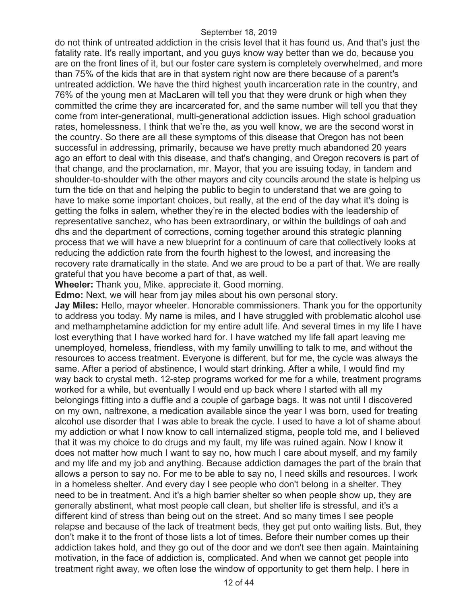do not think of untreated addiction in the crisis level that it has found us. And that's just the fatality rate. It's really important, and you guys know way better than we do, because you are on the front lines of it, but our foster care system is completely overwhelmed, and more than 75% of the kids that are in that system right now are there because of a parent's untreated addiction. We have the third highest youth incarceration rate in the country, and 76% of the young men at MacLaren will tell you that they were drunk or high when they committed the crime they are incarcerated for, and the same number will tell you that they come from inter-generational, multi-generational addiction issues. High school graduation rates, homelessness. I think that we're the, as you well know, we are the second worst in the country. So there are all these symptoms of this disease that Oregon has not been successful in addressing, primarily, because we have pretty much abandoned 20 years ago an effort to deal with this disease, and that's changing, and Oregon recovers is part of that change, and the proclamation, mr. Mayor, that you are issuing today, in tandem and shoulder-to-shoulder with the other mayors and city councils around the state is helping us turn the tide on that and helping the public to begin to understand that we are going to have to make some important choices, but really, at the end of the day what it's doing is getting the folks in salem, whether they're in the elected bodies with the leadership of representative sanchez, who has been extraordinary, or within the buildings of oah and dhs and the department of corrections, coming together around this strategic planning process that we will have a new blueprint for a continuum of care that collectively looks at reducing the addiction rate from the fourth highest to the lowest, and increasing the recovery rate dramatically in the state. And we are proud to be a part of that. We are really grateful that you have become a part of that, as well.

**Wheeler:** Thank you, Mike. appreciate it. Good morning.

**Edmo:** Next, we will hear from jay miles about his own personal story.

**Jay Miles:** Hello, mayor wheeler. Honorable commissioners. Thank you for the opportunity to address you today. My name is miles, and I have struggled with problematic alcohol use and methamphetamine addiction for my entire adult life. And several times in my life I have lost everything that I have worked hard for. I have watched my life fall apart leaving me unemployed, homeless, friendless, with my family unwilling to talk to me, and without the resources to access treatment. Everyone is different, but for me, the cycle was always the same. After a period of abstinence, I would start drinking. After a while, I would find my way back to crystal meth. 12-step programs worked for me for a while, treatment programs worked for a while, but eventually I would end up back where I started with all my belongings fitting into a duffle and a couple of garbage bags. It was not until I discovered on my own, naltrexone, a medication available since the year I was born, used for treating alcohol use disorder that I was able to break the cycle. I used to have a lot of shame about my addiction or what I now know to call internalized stigma, people told me, and I believed that it was my choice to do drugs and my fault, my life was ruined again. Now I know it does not matter how much I want to say no, how much I care about myself, and my family and my life and my job and anything. Because addiction damages the part of the brain that allows a person to say no. For me to be able to say no, I need skills and resources. I work in a homeless shelter. And every day I see people who don't belong in a shelter. They need to be in treatment. And it's a high barrier shelter so when people show up, they are generally abstinent, what most people call clean, but shelter life is stressful, and it's a different kind of stress than being out on the street. And so many times I see people relapse and because of the lack of treatment beds, they get put onto waiting lists. But, they don't make it to the front of those lists a lot of times. Before their number comes up their addiction takes hold, and they go out of the door and we don't see then again. Maintaining motivation, in the face of addiction is, complicated. And when we cannot get people into treatment right away, we often lose the window of opportunity to get them help. I here in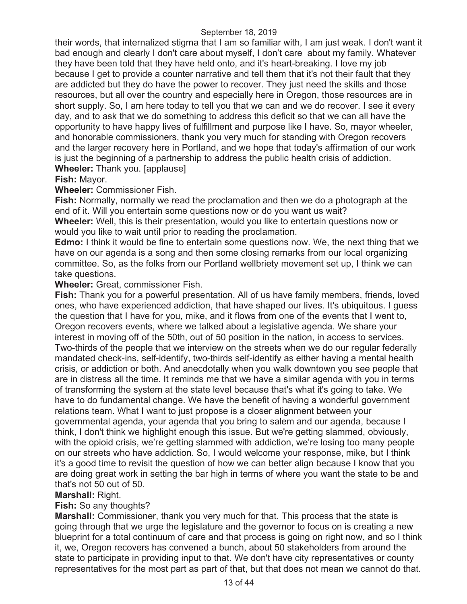their words, that internalized stigma that I am so familiar with, I am just weak. I don't want it bad enough and clearly I don't care about myself, I don't care about my family. Whatever they have been told that they have held onto, and it's heart-breaking. I love my job because I get to provide a counter narrative and tell them that it's not their fault that they are addicted but they do have the power to recover. They just need the skills and those resources, but all over the country and especially here in Oregon, those resources are in short supply. So, I am here today to tell you that we can and we do recover. I see it every day, and to ask that we do something to address this deficit so that we can all have the opportunity to have happy lives of fulfillment and purpose like I have. So, mayor wheeler, and honorable commissioners, thank you very much for standing with Oregon recovers and the larger recovery here in Portland, and we hope that today's affirmation of our work is just the beginning of a partnership to address the public health crisis of addiction. **Wheeler:** Thank you. [applause]

**Fish:** Mayor.

**Wheeler:** Commissioner Fish.

**Fish:** Normally, normally we read the proclamation and then we do a photograph at the end of it. Will you entertain some questions now or do you want us wait?

**Wheeler:** Well, this is their presentation, would you like to entertain questions now or would you like to wait until prior to reading the proclamation.

**Edmo:** I think it would be fine to entertain some questions now. We, the next thing that we have on our agenda is a song and then some closing remarks from our local organizing committee. So, as the folks from our Portland wellbriety movement set up, I think we can take questions.

**Wheeler:** Great, commissioner Fish.

**Fish:** Thank you for a powerful presentation. All of us have family members, friends, loved ones, who have experienced addiction, that have shaped our lives. It's ubiquitous. I guess the question that I have for you, mike, and it flows from one of the events that I went to, Oregon recovers events, where we talked about a legislative agenda. We share your interest in moving off of the 50th, out of 50 position in the nation, in access to services. Two-thirds of the people that we interview on the streets when we do our regular federally mandated check-ins, self-identify, two-thirds self-identify as either having a mental health crisis, or addiction or both. And anecdotally when you walk downtown you see people that are in distress all the time. It reminds me that we have a similar agenda with you in terms of transforming the system at the state level because that's what it's going to take. We have to do fundamental change. We have the benefit of having a wonderful government relations team. What I want to just propose is a closer alignment between your governmental agenda, your agenda that you bring to salem and our agenda, because I think, I don't think we highlight enough this issue. But we're getting slammed, obviously, with the opioid crisis, we're getting slammed with addiction, we're losing too many people on our streets who have addiction. So, I would welcome your response, mike, but I think it's a good time to revisit the question of how we can better align because I know that you are doing great work in setting the bar high in terms of where you want the state to be and that's not 50 out of 50.

## **Marshall:** Right.

## **Fish:** So any thoughts?

**Marshall:** Commissioner, thank you very much for that. This process that the state is going through that we urge the legislature and the governor to focus on is creating a new blueprint for a total continuum of care and that process is going on right now, and so I think it, we, Oregon recovers has convened a bunch, about 50 stakeholders from around the state to participate in providing input to that. We don't have city representatives or county representatives for the most part as part of that, but that does not mean we cannot do that.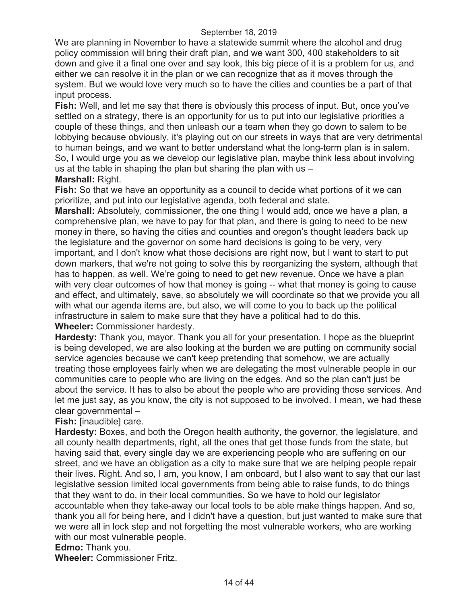We are planning in November to have a statewide summit where the alcohol and drug policy commission will bring their draft plan, and we want 300, 400 stakeholders to sit down and give it a final one over and say look, this big piece of it is a problem for us, and either we can resolve it in the plan or we can recognize that as it moves through the system. But we would love very much so to have the cities and counties be a part of that input process.

**Fish:** Well, and let me say that there is obviously this process of input. But, once you've settled on a strategy, there is an opportunity for us to put into our legislative priorities a couple of these things, and then unleash our a team when they go down to salem to be lobbying because obviously, it's playing out on our streets in ways that are very detrimental to human beings, and we want to better understand what the long-term plan is in salem. So, I would urge you as we develop our legislative plan, maybe think less about involving us at the table in shaping the plan but sharing the plan with us  $-$ 

### **Marshall:** Right.

**Fish:** So that we have an opportunity as a council to decide what portions of it we can prioritize, and put into our legislative agenda, both federal and state.

**Marshall:** Absolutely, commissioner, the one thing I would add, once we have a plan, a comprehensive plan, we have to pay for that plan, and there is going to need to be new money in there, so having the cities and counties and oregon's thought leaders back up the legislature and the governor on some hard decisions is going to be very, very important, and I don't know what those decisions are right now, but I want to start to put down markers, that we're not going to solve this by reorganizing the system, although that has to happen, as well. We're going to need to get new revenue. Once we have a plan with very clear outcomes of how that money is going -- what that money is going to cause and effect, and ultimately, save, so absolutely we will coordinate so that we provide you all with what our agenda items are, but also, we will come to you to back up the political infrastructure in salem to make sure that they have a political had to do this. **Wheeler:** Commissioner hardesty.

**Hardesty:** Thank you, mayor. Thank you all for your presentation. I hope as the blueprint is being developed, we are also looking at the burden we are putting on community social service agencies because we can't keep pretending that somehow, we are actually treating those employees fairly when we are delegating the most vulnerable people in our communities care to people who are living on the edges. And so the plan can't just be about the service. It has to also be about the people who are providing those services. And let me just say, as you know, the city is not supposed to be involved. I mean, we had these clear governmental –

## **Fish:** [inaudible] care.

**Hardesty:** Boxes, and both the Oregon health authority, the governor, the legislature, and all county health departments, right, all the ones that get those funds from the state, but having said that, every single day we are experiencing people who are suffering on our street, and we have an obligation as a city to make sure that we are helping people repair their lives. Right. And so, I am, you know, I am onboard, but I also want to say that our last legislative session limited local governments from being able to raise funds, to do things that they want to do, in their local communities. So we have to hold our legislator accountable when they take-away our local tools to be able make things happen. And so, thank you all for being here, and I didn't have a question, but just wanted to make sure that we were all in lock step and not forgetting the most vulnerable workers, who are working with our most vulnerable people.

### **Edmo:** Thank you.

**Wheeler:** Commissioner Fritz.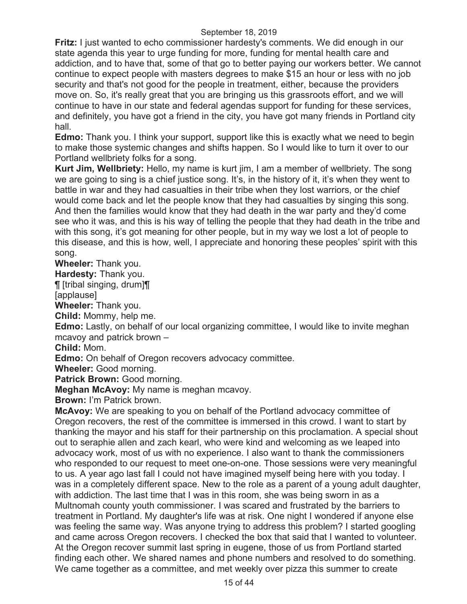**Fritz:** I just wanted to echo commissioner hardesty's comments. We did enough in our state agenda this year to urge funding for more, funding for mental health care and addiction, and to have that, some of that go to better paying our workers better. We cannot continue to expect people with masters degrees to make \$15 an hour or less with no job security and that's not good for the people in treatment, either, because the providers move on. So, it's really great that you are bringing us this grassroots effort, and we will continue to have in our state and federal agendas support for funding for these services, and definitely, you have got a friend in the city, you have got many friends in Portland city hall.

**Edmo:** Thank you. I think your support, support like this is exactly what we need to begin to make those systemic changes and shifts happen. So I would like to turn it over to our Portland wellbriety folks for a song.

**Kurt Jim, Wellbriety:** Hello, my name is kurt jim, I am a member of wellbriety. The song we are going to sing is a chief justice song. It's, in the history of it, it's when they went to battle in war and they had casualties in their tribe when they lost warriors, or the chief would come back and let the people know that they had casualties by singing this song. And then the families would know that they had death in the war party and they'd come see who it was, and this is his way of telling the people that they had death in the tribe and with this song, it's got meaning for other people, but in my way we lost a lot of people to this disease, and this is how, well, I appreciate and honoring these peoples' spirit with this song.

**Wheeler:** Thank you.

**Hardesty:** Thank you.

¶ [tribal singing, drum]¶

[applause]

**Wheeler:** Thank you.

**Child:** Mommy, help me.

**Edmo:** Lastly, on behalf of our local organizing committee, I would like to invite meghan mcavoy and patrick brown –

**Child:** Mom.

**Edmo:** On behalf of Oregon recovers advocacy committee.

**Wheeler:** Good morning.

**Patrick Brown: Good morning.** 

**Meghan McAvoy:** My name is meghan mcavoy.

**Brown:** I'm Patrick brown.

**McAvoy:** We are speaking to you on behalf of the Portland advocacy committee of Oregon recovers, the rest of the committee is immersed in this crowd. I want to start by thanking the mayor and his staff for their partnership on this proclamation. A special shout out to seraphie allen and zach kearl, who were kind and welcoming as we leaped into advocacy work, most of us with no experience. I also want to thank the commissioners who responded to our request to meet one-on-one. Those sessions were very meaningful to us. A year ago last fall I could not have imagined myself being here with you today. I was in a completely different space. New to the role as a parent of a young adult daughter, with addiction. The last time that I was in this room, she was being sworn in as a Multnomah county youth commissioner. I was scared and frustrated by the barriers to treatment in Portland. My daughter's life was at risk. One night I wondered if anyone else was feeling the same way. Was anyone trying to address this problem? I started googling and came across Oregon recovers. I checked the box that said that I wanted to volunteer. At the Oregon recover summit last spring in eugene, those of us from Portland started finding each other. We shared names and phone numbers and resolved to do something. We came together as a committee, and met weekly over pizza this summer to create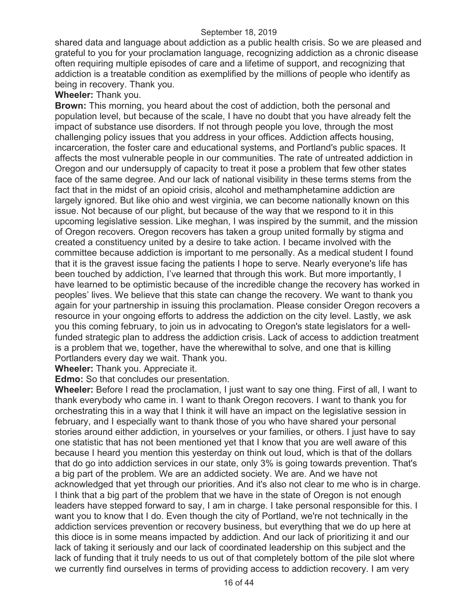shared data and language about addiction as a public health crisis. So we are pleased and grateful to you for your proclamation language, recognizing addiction as a chronic disease often requiring multiple episodes of care and a lifetime of support, and recognizing that addiction is a treatable condition as exemplified by the millions of people who identify as being in recovery. Thank you.

### **Wheeler:** Thank you.

**Brown:** This morning, you heard about the cost of addiction, both the personal and population level, but because of the scale, I have no doubt that you have already felt the impact of substance use disorders. If not through people you love, through the most challenging policy issues that you address in your offices. Addiction affects housing, incarceration, the foster care and educational systems, and Portland's public spaces. It affects the most vulnerable people in our communities. The rate of untreated addiction in Oregon and our undersupply of capacity to treat it pose a problem that few other states face of the same degree. And our lack of national visibility in these terms stems from the fact that in the midst of an opioid crisis, alcohol and methamphetamine addiction are largely ignored. But like ohio and west virginia, we can become nationally known on this issue. Not because of our plight, but because of the way that we respond to it in this upcoming legislative session. Like meghan, I was inspired by the summit, and the mission of Oregon recovers. Oregon recovers has taken a group united formally by stigma and created a constituency united by a desire to take action. I became involved with the committee because addiction is important to me personally. As a medical student I found that it is the gravest issue facing the patients I hope to serve. Nearly everyone's life has been touched by addiction, I've learned that through this work. But more importantly, I have learned to be optimistic because of the incredible change the recovery has worked in peoples' lives. We believe that this state can change the recovery. We want to thank you again for your partnership in issuing this proclamation. Please consider Oregon recovers a resource in your ongoing efforts to address the addiction on the city level. Lastly, we ask you this coming february, to join us in advocating to Oregon's state legislators for a wellfunded strategic plan to address the addiction crisis. Lack of access to addiction treatment is a problem that we, together, have the wherewithal to solve, and one that is killing Portlanders every day we wait. Thank you.

**Wheeler:** Thank you. Appreciate it.

**Edmo:** So that concludes our presentation.

**Wheeler:** Before I read the proclamation, I just want to say one thing. First of all, I want to thank everybody who came in. I want to thank Oregon recovers. I want to thank you for orchestrating this in a way that I think it will have an impact on the legislative session in february, and I especially want to thank those of you who have shared your personal stories around either addiction, in yourselves or your families, or others. I just have to say one statistic that has not been mentioned yet that I know that you are well aware of this because I heard you mention this yesterday on think out loud, which is that of the dollars that do go into addiction services in our state, only 3% is going towards prevention. That's a big part of the problem. We are an addicted society. We are. And we have not acknowledged that yet through our priorities. And it's also not clear to me who is in charge. I think that a big part of the problem that we have in the state of Oregon is not enough leaders have stepped forward to say, I am in charge. I take personal responsible for this. I want you to know that I do. Even though the city of Portland, we're not technically in the addiction services prevention or recovery business, but everything that we do up here at this dioce is in some means impacted by addiction. And our lack of prioritizing it and our lack of taking it seriously and our lack of coordinated leadership on this subject and the lack of funding that it truly needs to us out of that completely bottom of the pile slot where we currently find ourselves in terms of providing access to addiction recovery. I am very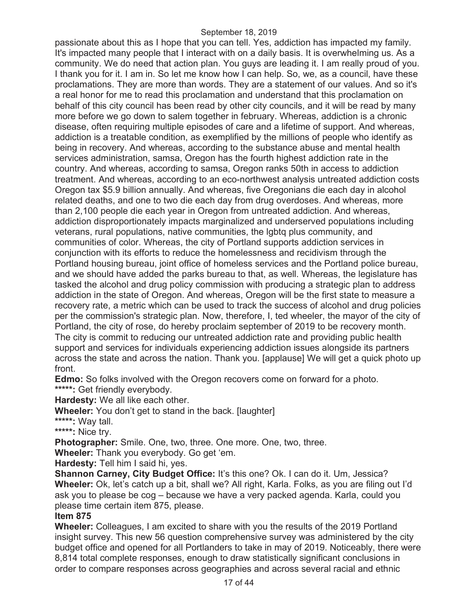passionate about this as I hope that you can tell. Yes, addiction has impacted my family. It's impacted many people that I interact with on a daily basis. It is overwhelming us. As a community. We do need that action plan. You guys are leading it. I am really proud of you. I thank you for it. I am in. So let me know how I can help. So, we, as a council, have these proclamations. They are more than words. They are a statement of our values. And so it's a real honor for me to read this proclamation and understand that this proclamation on behalf of this city council has been read by other city councils, and it will be read by many more before we go down to salem together in february. Whereas, addiction is a chronic disease, often requiring multiple episodes of care and a lifetime of support. And whereas, addiction is a treatable condition, as exemplified by the millions of people who identify as being in recovery. And whereas, according to the substance abuse and mental health services administration, samsa, Oregon has the fourth highest addiction rate in the country. And whereas, according to samsa, Oregon ranks 50th in access to addiction treatment. And whereas, according to an eco-northwest analysis untreated addiction costs Oregon tax \$5.9 billion annually. And whereas, five Oregonians die each day in alcohol related deaths, and one to two die each day from drug overdoses. And whereas, more than 2,100 people die each year in Oregon from untreated addiction. And whereas, addiction disproportionately impacts marginalized and underserved populations including veterans, rural populations, native communities, the lgbtq plus community, and communities of color. Whereas, the city of Portland supports addiction services in conjunction with its efforts to reduce the homelessness and recidivism through the Portland housing bureau, joint office of homeless services and the Portland police bureau, and we should have added the parks bureau to that, as well. Whereas, the legislature has tasked the alcohol and drug policy commission with producing a strategic plan to address addiction in the state of Oregon. And whereas, Oregon will be the first state to measure a recovery rate, a metric which can be used to track the success of alcohol and drug policies per the commission's strategic plan. Now, therefore, I, ted wheeler, the mayor of the city of Portland, the city of rose, do hereby proclaim september of 2019 to be recovery month. The city is commit to reducing our untreated addiction rate and providing public health support and services for individuals experiencing addiction issues alongside its partners across the state and across the nation. Thank you. [applause] We will get a quick photo up front.

**Edmo:** So folks involved with the Oregon recovers come on forward for a photo. **\*\*\*\*\*:** Get friendly everybody.

**Hardesty:** We all like each other.

**Wheeler:** You don't get to stand in the back. [laughter]

**\*\*\*\*\*:** Way tall.

**\*\*\*\*\*:** Nice try.

**Photographer:** Smile. One, two, three. One more. One, two, three.

**Wheeler:** Thank you everybody. Go get 'em.

**Hardesty:** Tell him I said hi, yes.

**Shannon Carney, City Budget Office:** It's this one? Ok. I can do it. Um, Jessica? **Wheeler:** Ok, let's catch up a bit, shall we? All right, Karla. Folks, as you are filing out I'd ask you to please be cog – because we have a very packed agenda. Karla, could you please time certain item 875, please.

## **Item 875**

**Wheeler:** Colleagues, I am excited to share with you the results of the 2019 Portland insight survey. This new 56 question comprehensive survey was administered by the city budget office and opened for all Portlanders to take in may of 2019. Noticeably, there were 8,814 total complete responses, enough to draw statistically significant conclusions in order to compare responses across geographies and across several racial and ethnic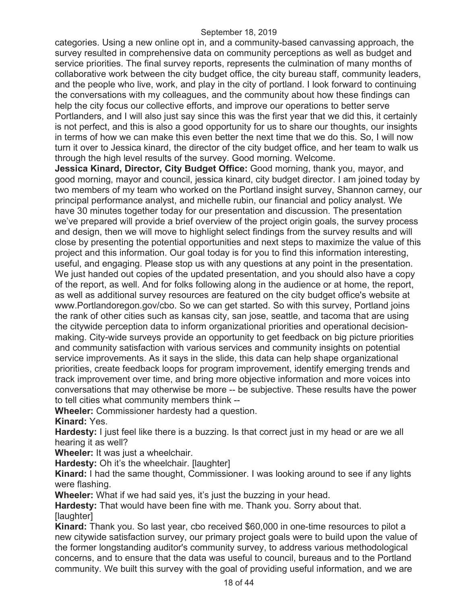categories. Using a new online opt in, and a community-based canvassing approach, the survey resulted in comprehensive data on community perceptions as well as budget and service priorities. The final survey reports, represents the culmination of many months of collaborative work between the city budget office, the city bureau staff, community leaders, and the people who live, work, and play in the city of portland. I look forward to continuing the conversations with my colleagues, and the community about how these findings can help the city focus our collective efforts, and improve our operations to better serve Portlanders, and I will also just say since this was the first year that we did this, it certainly is not perfect, and this is also a good opportunity for us to share our thoughts, our insights in terms of how we can make this even better the next time that we do this. So, I will now turn it over to Jessica kinard, the director of the city budget office, and her team to walk us through the high level results of the survey. Good morning. Welcome.

**Jessica Kinard, Director, City Budget Office:** Good morning, thank you, mayor, and good morning, mayor and council, jessica kinard, city budget director. I am joined today by two members of my team who worked on the Portland insight survey, Shannon carney, our principal performance analyst, and michelle rubin, our financial and policy analyst. We have 30 minutes together today for our presentation and discussion. The presentation we've prepared will provide a brief overview of the project origin goals, the survey process and design, then we will move to highlight select findings from the survey results and will close by presenting the potential opportunities and next steps to maximize the value of this project and this information. Our goal today is for you to find this information interesting, useful, and engaging. Please stop us with any questions at any point in the presentation. We just handed out copies of the updated presentation, and you should also have a copy of the report, as well. And for folks following along in the audience or at home, the report, as well as additional survey resources are featured on the city budget office's website at www.Portlandoregon.gov/cbo. So we can get started. So with this survey, Portland joins the rank of other cities such as kansas city, san jose, seattle, and tacoma that are using the citywide perception data to inform organizational priorities and operational decisionmaking. City-wide surveys provide an opportunity to get feedback on big picture priorities and community satisfaction with various services and community insights on potential service improvements. As it says in the slide, this data can help shape organizational priorities, create feedback loops for program improvement, identify emerging trends and track improvement over time, and bring more objective information and more voices into conversations that may otherwise be more -- be subjective. These results have the power to tell cities what community members think --

**Wheeler:** Commissioner hardesty had a question.

**Kinard:** Yes.

**Hardesty:** I just feel like there is a buzzing. Is that correct just in my head or are we all hearing it as well?

**Wheeler:** It was just a wheelchair.

**Hardesty:** Oh it's the wheelchair. [laughter]

**Kinard:** I had the same thought, Commissioner. I was looking around to see if any lights were flashing.

**Wheeler:** What if we had said yes, it's just the buzzing in your head.

**Hardesty:** That would have been fine with me. Thank you. Sorry about that. [laughter]

**Kinard:** Thank you. So last year, cbo received \$60,000 in one-time resources to pilot a new citywide satisfaction survey, our primary project goals were to build upon the value of the former longstanding auditor's community survey, to address various methodological concerns, and to ensure that the data was useful to council, bureaus and to the Portland community. We built this survey with the goal of providing useful information, and we are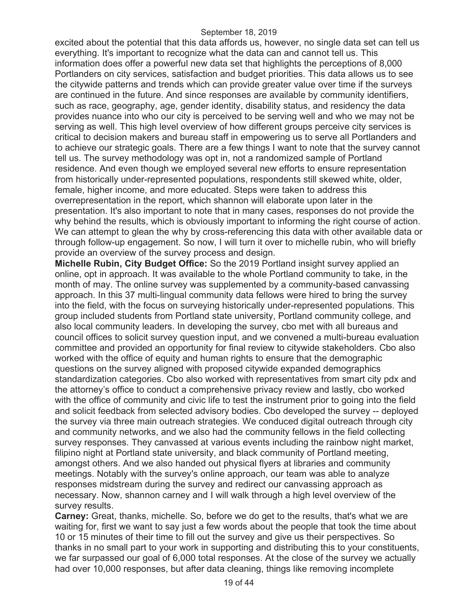excited about the potential that this data affords us, however, no single data set can tell us everything. It's important to recognize what the data can and cannot tell us. This information does offer a powerful new data set that highlights the perceptions of 8,000 Portlanders on city services, satisfaction and budget priorities. This data allows us to see the citywide patterns and trends which can provide greater value over time if the surveys are continued in the future. And since responses are available by community identifiers, such as race, geography, age, gender identity, disability status, and residency the data provides nuance into who our city is perceived to be serving well and who we may not be serving as well. This high level overview of how different groups perceive city services is critical to decision makers and bureau staff in empowering us to serve all Portlanders and to achieve our strategic goals. There are a few things I want to note that the survey cannot tell us. The survey methodology was opt in, not a randomized sample of Portland residence. And even though we employed several new efforts to ensure representation from historically under-represented populations, respondents still skewed white, older, female, higher income, and more educated. Steps were taken to address this overrepresentation in the report, which shannon will elaborate upon later in the presentation. It's also important to note that in many cases, responses do not provide the why behind the results, which is obviously important to informing the right course of action. We can attempt to glean the why by cross-referencing this data with other available data or through follow-up engagement. So now, I will turn it over to michelle rubin, who will briefly provide an overview of the survey process and design.

**Michelle Rubin, City Budget Office:** So the 2019 Portland insight survey applied an online, opt in approach. It was available to the whole Portland community to take, in the month of may. The online survey was supplemented by a community-based canvassing approach. In this 37 multi-lingual community data fellows were hired to bring the survey into the field, with the focus on surveying historically under-represented populations. This group included students from Portland state university, Portland community college, and also local community leaders. In developing the survey, cbo met with all bureaus and council offices to solicit survey question input, and we convened a multi-bureau evaluation committee and provided an opportunity for final review to citywide stakeholders. Cbo also worked with the office of equity and human rights to ensure that the demographic questions on the survey aligned with proposed citywide expanded demographics standardization categories. Cbo also worked with representatives from smart city pdx and the attorney's office to conduct a comprehensive privacy review and lastly, cbo worked with the office of community and civic life to test the instrument prior to going into the field and solicit feedback from selected advisory bodies. Cbo developed the survey -- deployed the survey via three main outreach strategies. We conduced digital outreach through city and community networks, and we also had the community fellows in the field collecting survey responses. They canvassed at various events including the rainbow night market, filipino night at Portland state university, and black community of Portland meeting, amongst others. And we also handed out physical flyers at libraries and community meetings. Notably with the survey's online approach, our team was able to analyze responses midstream during the survey and redirect our canvassing approach as necessary. Now, shannon carney and I will walk through a high level overview of the survey results.

**Carney:** Great, thanks, michelle. So, before we do get to the results, that's what we are waiting for, first we want to say just a few words about the people that took the time about 10 or 15 minutes of their time to fill out the survey and give us their perspectives. So thanks in no small part to your work in supporting and distributing this to your constituents, we far surpassed our goal of 6,000 total responses. At the close of the survey we actually had over 10,000 responses, but after data cleaning, things like removing incomplete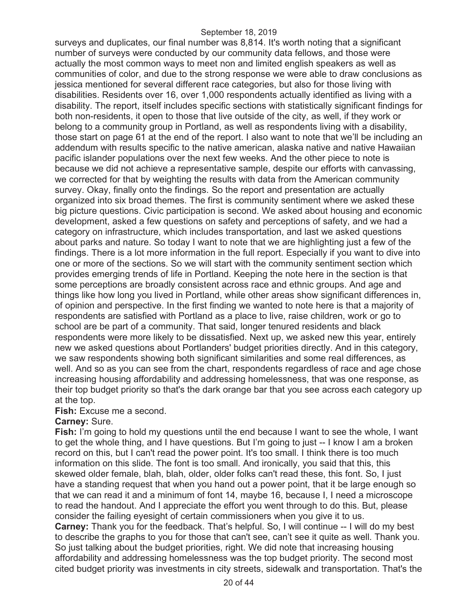surveys and duplicates, our final number was 8,814. It's worth noting that a significant number of surveys were conducted by our community data fellows, and those were actually the most common ways to meet non and limited english speakers as well as communities of color, and due to the strong response we were able to draw conclusions as jessica mentioned for several different race categories, but also for those living with disabilities. Residents over 16, over 1,000 respondents actually identified as living with a disability. The report, itself includes specific sections with statistically significant findings for both non-residents, it open to those that live outside of the city, as well, if they work or belong to a community group in Portland, as well as respondents living with a disability, those start on page 61 at the end of the report. I also want to note that we'll be including an addendum with results specific to the native american, alaska native and native Hawaiian pacific islander populations over the next few weeks. And the other piece to note is because we did not achieve a representative sample, despite our efforts with canvassing, we corrected for that by weighting the results with data from the American community survey. Okay, finally onto the findings. So the report and presentation are actually organized into six broad themes. The first is community sentiment where we asked these big picture questions. Civic participation is second. We asked about housing and economic development, asked a few questions on safety and perceptions of safety, and we had a category on infrastructure, which includes transportation, and last we asked questions about parks and nature. So today I want to note that we are highlighting just a few of the findings. There is a lot more information in the full report. Especially if you want to dive into one or more of the sections. So we will start with the community sentiment section which provides emerging trends of life in Portland. Keeping the note here in the section is that some perceptions are broadly consistent across race and ethnic groups. And age and things like how long you lived in Portland, while other areas show significant differences in, of opinion and perspective. In the first finding we wanted to note here is that a majority of respondents are satisfied with Portland as a place to live, raise children, work or go to school are be part of a community. That said, longer tenured residents and black respondents were more likely to be dissatisfied. Next up, we asked new this year, entirely new we asked questions about Portlanders' budget priorities directly. And in this category, we saw respondents showing both significant similarities and some real differences, as well. And so as you can see from the chart, respondents regardless of race and age chose increasing housing affordability and addressing homelessness, that was one response, as their top budget priority so that's the dark orange bar that you see across each category up at the top.

## **Fish:** Excuse me a second.

### **Carney:** Sure.

**Fish:** I'm going to hold my questions until the end because I want to see the whole, I want to get the whole thing, and I have questions. But I'm going to just -- I know I am a broken record on this, but I can't read the power point. It's too small. I think there is too much information on this slide. The font is too small. And ironically, you said that this, this skewed older female, blah, blah, older, older folks can't read these, this font. So, I just have a standing request that when you hand out a power point, that it be large enough so that we can read it and a minimum of font 14, maybe 16, because I, I need a microscope to read the handout. And I appreciate the effort you went through to do this. But, please consider the failing eyesight of certain commissioners when you give it to us. **Carney:** Thank you for the feedback. That's helpful. So, I will continue -- I will do my best to describe the graphs to you for those that can't see, can't see it quite as well. Thank you. So just talking about the budget priorities, right. We did note that increasing housing affordability and addressing homelessness was the top budget priority. The second most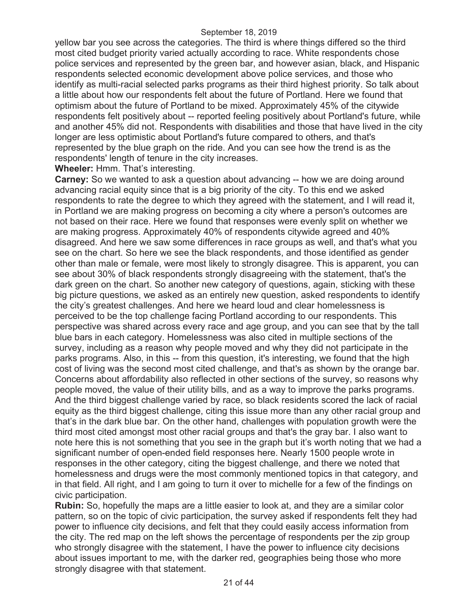yellow bar you see across the categories. The third is where things differed so the third most cited budget priority varied actually according to race. White respondents chose police services and represented by the green bar, and however asian, black, and Hispanic respondents selected economic development above police services, and those who identify as multi-racial selected parks programs as their third highest priority. So talk about a little about how our respondents felt about the future of Portland. Here we found that optimism about the future of Portland to be mixed. Approximately 45% of the citywide respondents felt positively about -- reported feeling positively about Portland's future, while and another 45% did not. Respondents with disabilities and those that have lived in the city longer are less optimistic about Portland's future compared to others, and that's represented by the blue graph on the ride. And you can see how the trend is as the respondents' length of tenure in the city increases.

### **Wheeler:** Hmm. That's interesting.

**Carney:** So we wanted to ask a question about advancing -- how we are doing around advancing racial equity since that is a big priority of the city. To this end we asked respondents to rate the degree to which they agreed with the statement, and I will read it, in Portland we are making progress on becoming a city where a person's outcomes are not based on their race. Here we found that responses were evenly split on whether we are making progress. Approximately 40% of respondents citywide agreed and 40% disagreed. And here we saw some differences in race groups as well, and that's what you see on the chart. So here we see the black respondents, and those identified as gender other than male or female, were most likely to strongly disagree. This is apparent, you can see about 30% of black respondents strongly disagreeing with the statement, that's the dark green on the chart. So another new category of questions, again, sticking with these big picture questions, we asked as an entirely new question, asked respondents to identify the city's greatest challenges. And here we heard loud and clear homelessness is perceived to be the top challenge facing Portland according to our respondents. This perspective was shared across every race and age group, and you can see that by the tall blue bars in each category. Homelessness was also cited in multiple sections of the survey, including as a reason why people moved and why they did not participate in the parks programs. Also, in this -- from this question, it's interesting, we found that the high cost of living was the second most cited challenge, and that's as shown by the orange bar. Concerns about affordability also reflected in other sections of the survey, so reasons why people moved, the value of their utility bills, and as a way to improve the parks programs. And the third biggest challenge varied by race, so black residents scored the lack of racial equity as the third biggest challenge, citing this issue more than any other racial group and that's in the dark blue bar. On the other hand, challenges with population growth were the third most cited amongst most other racial groups and that's the gray bar. I also want to note here this is not something that you see in the graph but it's worth noting that we had a significant number of open-ended field responses here. Nearly 1500 people wrote in responses in the other category, citing the biggest challenge, and there we noted that homelessness and drugs were the most commonly mentioned topics in that category, and in that field. All right, and I am going to turn it over to michelle for a few of the findings on civic participation.

**Rubin:** So, hopefully the maps are a little easier to look at, and they are a similar color pattern, so on the topic of civic participation, the survey asked if respondents felt they had power to influence city decisions, and felt that they could easily access information from the city. The red map on the left shows the percentage of respondents per the zip group who strongly disagree with the statement, I have the power to influence city decisions about issues important to me, with the darker red, geographies being those who more strongly disagree with that statement.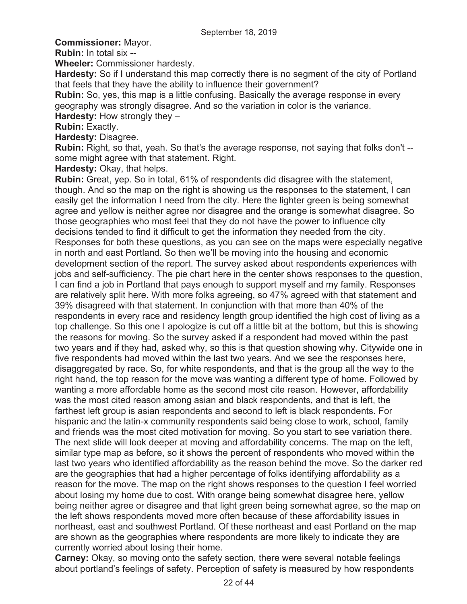**Commissioner:** Mayor.

**Rubin:** In total six --

**Wheeler:** Commissioner hardesty.

**Hardesty:** So if I understand this map correctly there is no segment of the city of Portland that feels that they have the ability to influence their government?

**Rubin:** So, yes, this map is a little confusing. Basically the average response in every geography was strongly disagree. And so the variation in color is the variance.

**Hardesty:** How strongly they –

**Rubin:** Exactly.

**Hardesty:** Disagree.

**Rubin:** Right, so that, yeah. So that's the average response, not saying that folks don't - some might agree with that statement. Right.

**Hardesty:** Okay, that helps.

**Rubin:** Great, yep. So in total, 61% of respondents did disagree with the statement, though. And so the map on the right is showing us the responses to the statement, I can easily get the information I need from the city. Here the lighter green is being somewhat agree and yellow is neither agree nor disagree and the orange is somewhat disagree. So those geographies who most feel that they do not have the power to influence city decisions tended to find it difficult to get the information they needed from the city. Responses for both these questions, as you can see on the maps were especially negative in north and east Portland. So then we'll be moving into the housing and economic development section of the report. The survey asked about respondents experiences with jobs and self-sufficiency. The pie chart here in the center shows responses to the question, I can find a job in Portland that pays enough to support myself and my family. Responses are relatively split here. With more folks agreeing, so 47% agreed with that statement and 39% disagreed with that statement. In conjunction with that more than 40% of the respondents in every race and residency length group identified the high cost of living as a top challenge. So this one I apologize is cut off a little bit at the bottom, but this is showing the reasons for moving. So the survey asked if a respondent had moved within the past two years and if they had, asked why, so this is that question showing why. Citywide one in five respondents had moved within the last two years. And we see the responses here, disaggregated by race. So, for white respondents, and that is the group all the way to the right hand, the top reason for the move was wanting a different type of home. Followed by wanting a more affordable home as the second most cite reason. However, affordability was the most cited reason among asian and black respondents, and that is left, the farthest left group is asian respondents and second to left is black respondents. For hispanic and the latin-x community respondents said being close to work, school, family and friends was the most cited motivation for moving. So you start to see variation there. The next slide will look deeper at moving and affordability concerns. The map on the left, similar type map as before, so it shows the percent of respondents who moved within the last two years who identified affordability as the reason behind the move. So the darker red are the geographies that had a higher percentage of folks identifying affordability as a reason for the move. The map on the right shows responses to the question I feel worried about losing my home due to cost. With orange being somewhat disagree here, yellow being neither agree or disagree and that light green being somewhat agree, so the map on the left shows respondents moved more often because of these affordability issues in northeast, east and southwest Portland. Of these northeast and east Portland on the map are shown as the geographies where respondents are more likely to indicate they are currently worried about losing their home.

**Carney:** Okay, so moving onto the safety section, there were several notable feelings about portland's feelings of safety. Perception of safety is measured by how respondents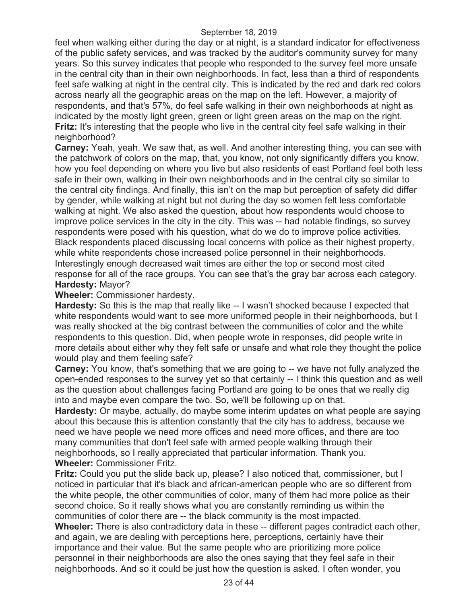feel when walking either during the day or at night, is a standard indicator for effectiveness of the public safety services, and was tracked by the auditor's community survey for many years. So this survey indicates that people who responded to the survey feel more unsafe in the central city than in their own neighborhoods. In fact, less than a third of respondents feel safe walking at night in the central city. This is indicated by the red and dark red colors across nearly all the geographic areas on the map on the left. However, a majority of respondents, and that's 57%, do feel safe walking in their own neighborhoods at night as indicated by the mostly light green, green or light green areas on the map on the right. **Fritz:** It's interesting that the people who live in the central city feel safe walking in their neighborhood?

**Carney:** Yeah, yeah. We saw that, as well. And another interesting thing, you can see with the patchwork of colors on the map, that, you know, not only significantly differs you know, how you feel depending on where you live but also residents of east Portland feel both less safe in their own, walking in their own neighborhoods and in the central city so similar to the central city findings. And finally, this isn't on the map but perception of safety did differ by gender, while walking at night but not during the day so women felt less comfortable walking at night. We also asked the question, about how respondents would choose to improve police services in the city in the city. This was -- had notable findings, so survey respondents were posed with his question, what do we do to improve police activities. Black respondents placed discussing local concerns with police as their highest property, while white respondents chose increased police personnel in their neighborhoods. Interestingly enough decreased wait times are either the top or second most cited response for all of the race groups. You can see that's the gray bar across each category. **Hardesty:** Mayor?

**Wheeler:** Commissioner hardesty.

**Hardesty:** So this is the map that really like -- I wasn't shocked because I expected that white respondents would want to see more uniformed people in their neighborhoods, but I was really shocked at the big contrast between the communities of color and the white respondents to this question. Did, when people wrote in responses, did people write in more details about either why they felt safe or unsafe and what role they thought the police would play and them feeling safe?

**Carney:** You know, that's something that we are going to -- we have not fully analyzed the open-ended responses to the survey yet so that certainly -- I think this question and as well as the question about challenges facing Portland are going to be ones that we really dig into and maybe even compare the two. So, we'll be following up on that.

**Hardesty:** Or maybe, actually, do maybe some interim updates on what people are saying about this because this is attention constantly that the city has to address, because we need we have people we need more offices and need more offices, and there are too many communities that don't feel safe with armed people walking through their neighborhoods, so I really appreciated that particular information. Thank you. **Wheeler:** Commissioner Fritz.

**Fritz:** Could you put the slide back up, please? I also noticed that, commissioner, but I noticed in particular that it's black and african-american people who are so different from the white people, the other communities of color, many of them had more police as their second choice. So it really shows what you are constantly reminding us within the communities of color there are -- the black community is the most impacted. **Wheeler:** There is also contradictory data in these -- different pages contradict each other, and again, we are dealing with perceptions here, perceptions, certainly have their importance and their value. But the same people who are prioritizing more police personnel in their neighborhoods are also the ones saying that they feel safe in their neighborhoods. And so it could be just how the question is asked. I often wonder, you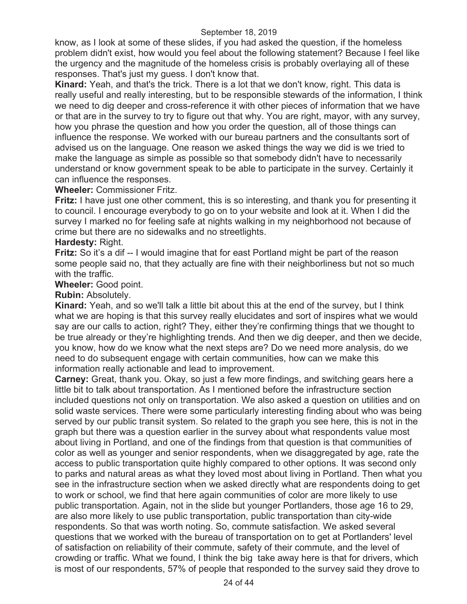know, as I look at some of these slides, if you had asked the question, if the homeless problem didn't exist, how would you feel about the following statement? Because I feel like the urgency and the magnitude of the homeless crisis is probably overlaying all of these responses. That's just my guess. I don't know that.

**Kinard:** Yeah, and that's the trick. There is a lot that we don't know, right. This data is really useful and really interesting, but to be responsible stewards of the information, I think we need to dig deeper and cross-reference it with other pieces of information that we have or that are in the survey to try to figure out that why. You are right, mayor, with any survey, how you phrase the question and how you order the question, all of those things can influence the response. We worked with our bureau partners and the consultants sort of advised us on the language. One reason we asked things the way we did is we tried to make the language as simple as possible so that somebody didn't have to necessarily understand or know government speak to be able to participate in the survey. Certainly it can influence the responses.

## **Wheeler:** Commissioner Fritz.

**Fritz:** I have just one other comment, this is so interesting, and thank you for presenting it to council. I encourage everybody to go on to your website and look at it. When I did the survey I marked no for feeling safe at nights walking in my neighborhood not because of crime but there are no sidewalks and no streetlights.

# **Hardesty:** Right.

**Fritz:** So it's a dif -- I would imagine that for east Portland might be part of the reason some people said no, that they actually are fine with their neighborliness but not so much with the traffic.

**Wheeler:** Good point.

**Rubin:** Absolutely.

**Kinard:** Yeah, and so we'll talk a little bit about this at the end of the survey, but I think what we are hoping is that this survey really elucidates and sort of inspires what we would say are our calls to action, right? They, either they're confirming things that we thought to be true already or they're highlighting trends. And then we dig deeper, and then we decide, you know, how do we know what the next steps are? Do we need more analysis, do we need to do subsequent engage with certain communities, how can we make this information really actionable and lead to improvement.

**Carney:** Great, thank you. Okay, so just a few more findings, and switching gears here a little bit to talk about transportation. As I mentioned before the infrastructure section included questions not only on transportation. We also asked a question on utilities and on solid waste services. There were some particularly interesting finding about who was being served by our public transit system. So related to the graph you see here, this is not in the graph but there was a question earlier in the survey about what respondents value most about living in Portland, and one of the findings from that question is that communities of color as well as younger and senior respondents, when we disaggregated by age, rate the access to public transportation quite highly compared to other options. It was second only to parks and natural areas as what they loved most about living in Portland. Then what you see in the infrastructure section when we asked directly what are respondents doing to get to work or school, we find that here again communities of color are more likely to use public transportation. Again, not in the slide but younger Portlanders, those age 16 to 29, are also more likely to use public transportation, public transportation than city-wide respondents. So that was worth noting. So, commute satisfaction. We asked several questions that we worked with the bureau of transportation on to get at Portlanders' level of satisfaction on reliability of their commute, safety of their commute, and the level of crowding or traffic. What we found, I think the big take away here is that for drivers, which is most of our respondents, 57% of people that responded to the survey said they drove to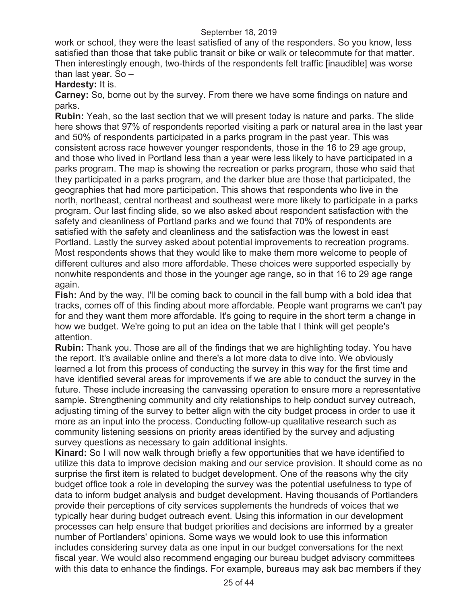work or school, they were the least satisfied of any of the responders. So you know, less satisfied than those that take public transit or bike or walk or telecommute for that matter. Then interestingly enough, two-thirds of the respondents felt traffic [inaudible] was worse than last year. So –

**Hardesty:** It is.

**Carney:** So, borne out by the survey. From there we have some findings on nature and parks.

**Rubin:** Yeah, so the last section that we will present today is nature and parks. The slide here shows that 97% of respondents reported visiting a park or natural area in the last year and 50% of respondents participated in a parks program in the past year. This was consistent across race however younger respondents, those in the 16 to 29 age group, and those who lived in Portland less than a year were less likely to have participated in a parks program. The map is showing the recreation or parks program, those who said that they participated in a parks program, and the darker blue are those that participated, the geographies that had more participation. This shows that respondents who live in the north, northeast, central northeast and southeast were more likely to participate in a parks program. Our last finding slide, so we also asked about respondent satisfaction with the safety and cleanliness of Portland parks and we found that 70% of respondents are satisfied with the safety and cleanliness and the satisfaction was the lowest in east Portland. Lastly the survey asked about potential improvements to recreation programs. Most respondents shows that they would like to make them more welcome to people of different cultures and also more affordable. These choices were supported especially by nonwhite respondents and those in the younger age range, so in that 16 to 29 age range again.

**Fish:** And by the way, I'll be coming back to council in the fall bump with a bold idea that tracks, comes off of this finding about more affordable. People want programs we can't pay for and they want them more affordable. It's going to require in the short term a change in how we budget. We're going to put an idea on the table that I think will get people's attention.

**Rubin:** Thank you. Those are all of the findings that we are highlighting today. You have the report. It's available online and there's a lot more data to dive into. We obviously learned a lot from this process of conducting the survey in this way for the first time and have identified several areas for improvements if we are able to conduct the survey in the future. These include increasing the canvassing operation to ensure more a representative sample. Strengthening community and city relationships to help conduct survey outreach, adjusting timing of the survey to better align with the city budget process in order to use it more as an input into the process. Conducting follow-up qualitative research such as community listening sessions on priority areas identified by the survey and adjusting survey questions as necessary to gain additional insights.

**Kinard:** So I will now walk through briefly a few opportunities that we have identified to utilize this data to improve decision making and our service provision. It should come as no surprise the first item is related to budget development. One of the reasons why the city budget office took a role in developing the survey was the potential usefulness to type of data to inform budget analysis and budget development. Having thousands of Portlanders provide their perceptions of city services supplements the hundreds of voices that we typically hear during budget outreach event. Using this information in our development processes can help ensure that budget priorities and decisions are informed by a greater number of Portlanders' opinions. Some ways we would look to use this information includes considering survey data as one input in our budget conversations for the next fiscal year. We would also recommend engaging our bureau budget advisory committees with this data to enhance the findings. For example, bureaus may ask bac members if they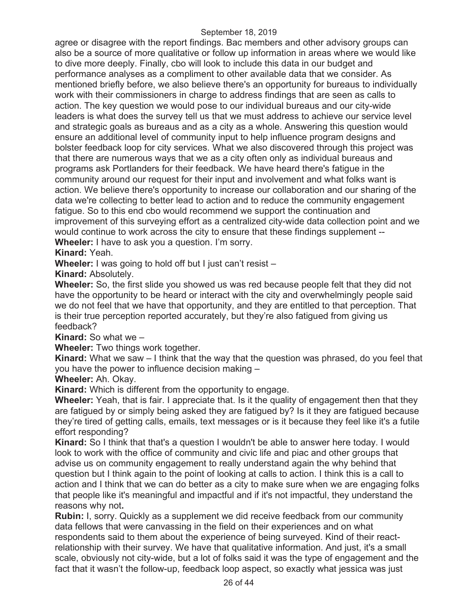agree or disagree with the report findings. Bac members and other advisory groups can also be a source of more qualitative or follow up information in areas where we would like to dive more deeply. Finally, cbo will look to include this data in our budget and performance analyses as a compliment to other available data that we consider. As mentioned briefly before, we also believe there's an opportunity for bureaus to individually work with their commissioners in charge to address findings that are seen as calls to action. The key question we would pose to our individual bureaus and our city-wide leaders is what does the survey tell us that we must address to achieve our service level and strategic goals as bureaus and as a city as a whole. Answering this question would ensure an additional level of community input to help influence program designs and bolster feedback loop for city services. What we also discovered through this project was that there are numerous ways that we as a city often only as individual bureaus and programs ask Portlanders for their feedback. We have heard there's fatigue in the community around our request for their input and involvement and what folks want is action. We believe there's opportunity to increase our collaboration and our sharing of the data we're collecting to better lead to action and to reduce the community engagement fatigue. So to this end cbo would recommend we support the continuation and improvement of this surveying effort as a centralized city-wide data collection point and we would continue to work across the city to ensure that these findings supplement -- **Wheeler:** I have to ask you a question. I'm sorry.

**Kinard:** Yeah.

**Wheeler:** I was going to hold off but I just can't resist –

**Kinard:** Absolutely.

**Wheeler:** So, the first slide you showed us was red because people felt that they did not have the opportunity to be heard or interact with the city and overwhelmingly people said we do not feel that we have that opportunity, and they are entitled to that perception. That is their true perception reported accurately, but they're also fatigued from giving us feedback?

**Kinard:** So what we –

**Wheeler:** Two things work together.

**Kinard:** What we saw – I think that the way that the question was phrased, do you feel that you have the power to influence decision making –

**Wheeler:** Ah. Okay.

**Kinard:** Which is different from the opportunity to engage.

**Wheeler:** Yeah, that is fair. I appreciate that. Is it the quality of engagement then that they are fatigued by or simply being asked they are fatigued by? Is it they are fatigued because they're tired of getting calls, emails, text messages or is it because they feel like it's a futile effort responding?

**Kinard:** So I think that that's a question I wouldn't be able to answer here today. I would look to work with the office of community and civic life and piac and other groups that advise us on community engagement to really understand again the why behind that question but I think again to the point of looking at calls to action. I think this is a call to action and I think that we can do better as a city to make sure when we are engaging folks that people like it's meaningful and impactful and if it's not impactful, they understand the reasons why not**.** 

**Rubin:** I, sorry. Quickly as a supplement we did receive feedback from our community data fellows that were canvassing in the field on their experiences and on what respondents said to them about the experience of being surveyed. Kind of their reactrelationship with their survey. We have that qualitative information. And just, it's a small scale, obviously not city-wide, but a lot of folks said it was the type of engagement and the fact that it wasn't the follow-up, feedback loop aspect, so exactly what jessica was just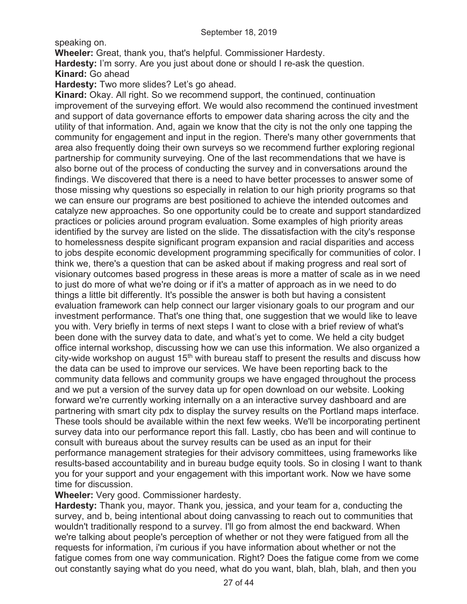speaking on.

**Wheeler:** Great, thank you, that's helpful. Commissioner Hardesty. **Hardesty:** I'm sorry. Are you just about done or should I re-ask the question. **Kinard:** Go ahead

**Hardesty:** Two more slides? Let's go ahead.

**Kinard:** Okay. All right. So we recommend support, the continued, continuation improvement of the surveying effort. We would also recommend the continued investment and support of data governance efforts to empower data sharing across the city and the utility of that information. And, again we know that the city is not the only one tapping the community for engagement and input in the region. There's many other governments that area also frequently doing their own surveys so we recommend further exploring regional partnership for community surveying. One of the last recommendations that we have is also borne out of the process of conducting the survey and in conversations around the findings. We discovered that there is a need to have better processes to answer some of those missing why questions so especially in relation to our high priority programs so that we can ensure our programs are best positioned to achieve the intended outcomes and catalyze new approaches. So one opportunity could be to create and support standardized practices or policies around program evaluation. Some examples of high priority areas identified by the survey are listed on the slide. The dissatisfaction with the city's response to homelessness despite significant program expansion and racial disparities and access to jobs despite economic development programming specifically for communities of color. I think we, there's a question that can be asked about if making progress and real sort of visionary outcomes based progress in these areas is more a matter of scale as in we need to just do more of what we're doing or if it's a matter of approach as in we need to do things a little bit differently. It's possible the answer is both but having a consistent evaluation framework can help connect our larger visionary goals to our program and our investment performance. That's one thing that, one suggestion that we would like to leave you with. Very briefly in terms of next steps I want to close with a brief review of what's been done with the survey data to date, and what's yet to come. We held a city budget office internal workshop, discussing how we can use this information. We also organized a city-wide workshop on august 15<sup>th</sup> with bureau staff to present the results and discuss how the data can be used to improve our services. We have been reporting back to the community data fellows and community groups we have engaged throughout the process and we put a version of the survey data up for open download on our website. Looking forward we're currently working internally on a an interactive survey dashboard and are partnering with smart city pdx to display the survey results on the Portland maps interface. These tools should be available within the next few weeks. We'll be incorporating pertinent survey data into our performance report this fall. Lastly, cbo has been and will continue to consult with bureaus about the survey results can be used as an input for their performance management strategies for their advisory committees, using frameworks like results-based accountability and in bureau budge equity tools. So in closing I want to thank you for your support and your engagement with this important work. Now we have some time for discussion.

**Wheeler:** Very good. Commissioner hardesty.

**Hardesty:** Thank you, mayor. Thank you, jessica, and your team for a, conducting the survey, and b, being intentional about doing canvassing to reach out to communities that wouldn't traditionally respond to a survey. I'll go from almost the end backward. When we're talking about people's perception of whether or not they were fatigued from all the requests for information, i'm curious if you have information about whether or not the fatigue comes from one way communication. Right? Does the fatigue come from we come out constantly saying what do you need, what do you want, blah, blah, blah, and then you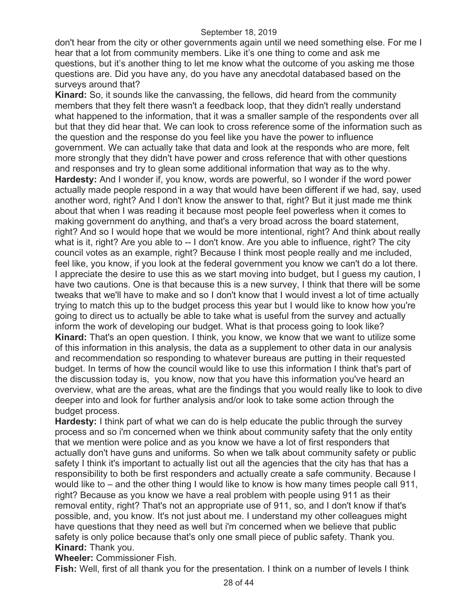don't hear from the city or other governments again until we need something else. For me I hear that a lot from community members. Like it's one thing to come and ask me questions, but it's another thing to let me know what the outcome of you asking me those questions are. Did you have any, do you have any anecdotal databased based on the surveys around that?

**Kinard:** So, it sounds like the canvassing, the fellows, did heard from the community members that they felt there wasn't a feedback loop, that they didn't really understand what happened to the information, that it was a smaller sample of the respondents over all but that they did hear that. We can look to cross reference some of the information such as the question and the response do you feel like you have the power to influence government. We can actually take that data and look at the responds who are more, felt more strongly that they didn't have power and cross reference that with other questions and responses and try to glean some additional information that way as to the why. **Hardesty:** And I wonder if, you know, words are powerful, so I wonder if the word power actually made people respond in a way that would have been different if we had, say, used another word, right? And I don't know the answer to that, right? But it just made me think about that when I was reading it because most people feel powerless when it comes to making government do anything, and that's a very broad across the board statement, right? And so I would hope that we would be more intentional, right? And think about really what is it, right? Are you able to -- I don't know. Are you able to influence, right? The city council votes as an example, right? Because I think most people really and me included, feel like, you know, if you look at the federal government you know we can't do a lot there. I appreciate the desire to use this as we start moving into budget, but I guess my caution, I have two cautions. One is that because this is a new survey, I think that there will be some tweaks that we'll have to make and so I don't know that I would invest a lot of time actually trying to match this up to the budget process this year but I would like to know how you're going to direct us to actually be able to take what is useful from the survey and actually inform the work of developing our budget. What is that process going to look like? **Kinard:** That's an open question. I think, you know, we know that we want to utilize some of this information in this analysis, the data as a supplement to other data in our analysis and recommendation so responding to whatever bureaus are putting in their requested budget. In terms of how the council would like to use this information I think that's part of the discussion today is, you know, now that you have this information you've heard an overview, what are the areas, what are the findings that you would really like to look to dive deeper into and look for further analysis and/or look to take some action through the budget process.

**Hardesty:** I think part of what we can do is help educate the public through the survey process and so i'm concerned when we think about community safety that the only entity that we mention were police and as you know we have a lot of first responders that actually don't have guns and uniforms. So when we talk about community safety or public safety I think it's important to actually list out all the agencies that the city has that has a responsibility to both be first responders and actually create a safe community. Because I would like to – and the other thing I would like to know is how many times people call 911, right? Because as you know we have a real problem with people using 911 as their removal entity, right? That's not an appropriate use of 911, so, and I don't know if that's possible, and, you know. It's not just about me. I understand my other colleagues might have questions that they need as well but i'm concerned when we believe that public safety is only police because that's only one small piece of public safety. Thank you. **Kinard:** Thank you.

**Wheeler:** Commissioner Fish.

**Fish:** Well, first of all thank you for the presentation. I think on a number of levels I think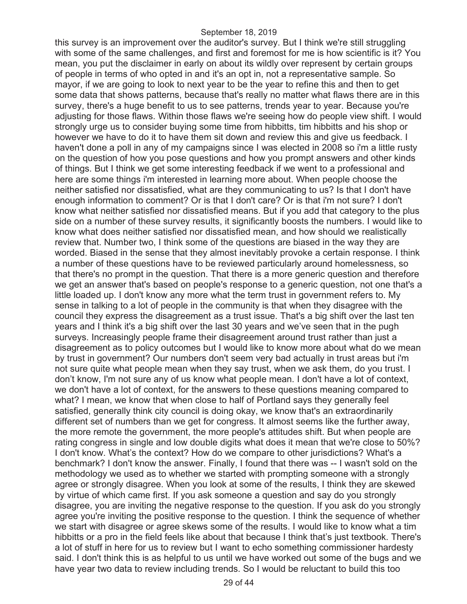this survey is an improvement over the auditor's survey. But I think we're still struggling with some of the same challenges, and first and foremost for me is how scientific is it? You mean, you put the disclaimer in early on about its wildly over represent by certain groups of people in terms of who opted in and it's an opt in, not a representative sample. So mayor, if we are going to look to next year to be the year to refine this and then to get some data that shows patterns, because that's really no matter what flaws there are in this survey, there's a huge benefit to us to see patterns, trends year to year. Because you're adjusting for those flaws. Within those flaws we're seeing how do people view shift. I would strongly urge us to consider buying some time from hibbitts, tim hibbitts and his shop or however we have to do it to have them sit down and review this and give us feedback. I haven't done a poll in any of my campaigns since I was elected in 2008 so i'm a little rusty on the question of how you pose questions and how you prompt answers and other kinds of things. But I think we get some interesting feedback if we went to a professional and here are some things i'm interested in learning more about. When people choose the neither satisfied nor dissatisfied, what are they communicating to us? Is that I don't have enough information to comment? Or is that I don't care? Or is that i'm not sure? I don't know what neither satisfied nor dissatisfied means. But if you add that category to the plus side on a number of these survey results, it significantly boosts the numbers. I would like to know what does neither satisfied nor dissatisfied mean, and how should we realistically review that. Number two, I think some of the questions are biased in the way they are worded. Biased in the sense that they almost inevitably provoke a certain response. I think a number of these questions have to be reviewed particularly around homelessness, so that there's no prompt in the question. That there is a more generic question and therefore we get an answer that's based on people's response to a generic question, not one that's a little loaded up. I don't know any more what the term trust in government refers to. My sense in talking to a lot of people in the community is that when they disagree with the council they express the disagreement as a trust issue. That's a big shift over the last ten years and I think it's a big shift over the last 30 years and we've seen that in the pugh surveys. Increasingly people frame their disagreement around trust rather than just a disagreement as to policy outcomes but I would like to know more about what do we mean by trust in government? Our numbers don't seem very bad actually in trust areas but i'm not sure quite what people mean when they say trust, when we ask them, do you trust. I don't know, I'm not sure any of us know what people mean. I don't have a lot of context, we don't have a lot of context, for the answers to these questions meaning compared to what? I mean, we know that when close to half of Portland says they generally feel satisfied, generally think city council is doing okay, we know that's an extraordinarily different set of numbers than we get for congress. It almost seems like the further away, the more remote the government, the more people's attitudes shift. But when people are rating congress in single and low double digits what does it mean that we're close to 50%? I don't know. What's the context? How do we compare to other jurisdictions? What's a benchmark? I don't know the answer. Finally, I found that there was -- I wasn't sold on the methodology we used as to whether we started with prompting someone with a strongly agree or strongly disagree. When you look at some of the results, I think they are skewed by virtue of which came first. If you ask someone a question and say do you strongly disagree, you are inviting the negative response to the question. If you ask do you strongly agree you're inviting the positive response to the question. I think the sequence of whether we start with disagree or agree skews some of the results. I would like to know what a tim hibbitts or a pro in the field feels like about that because I think that's just textbook. There's a lot of stuff in here for us to review but I want to echo something commissioner hardesty said. I don't think this is as helpful to us until we have worked out some of the bugs and we have year two data to review including trends. So I would be reluctant to build this too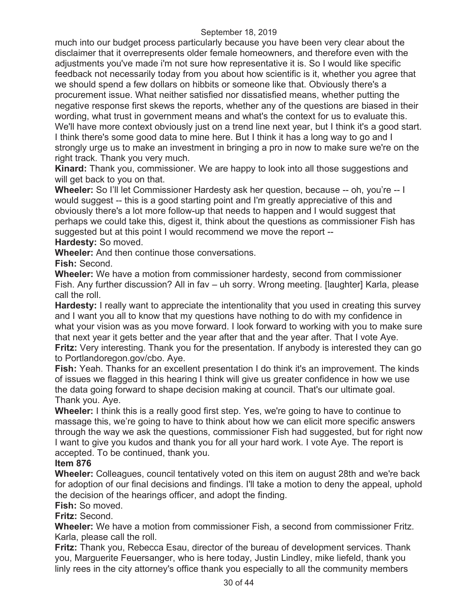much into our budget process particularly because you have been very clear about the disclaimer that it overrepresents older female homeowners, and therefore even with the adjustments you've made i'm not sure how representative it is. So I would like specific feedback not necessarily today from you about how scientific is it, whether you agree that we should spend a few dollars on hibbits or someone like that. Obviously there's a procurement issue. What neither satisfied nor dissatisfied means, whether putting the negative response first skews the reports, whether any of the questions are biased in their wording, what trust in government means and what's the context for us to evaluate this. We'll have more context obviously just on a trend line next year, but I think it's a good start. I think there's some good data to mine here. But I think it has a long way to go and I strongly urge us to make an investment in bringing a pro in now to make sure we're on the right track. Thank you very much.

**Kinard:** Thank you, commissioner. We are happy to look into all those suggestions and will get back to you on that.

**Wheeler:** So I'll let Commissioner Hardesty ask her question, because -- oh, you're -- I would suggest -- this is a good starting point and I'm greatly appreciative of this and obviously there's a lot more follow-up that needs to happen and I would suggest that perhaps we could take this, digest it, think about the questions as commissioner Fish has suggested but at this point I would recommend we move the report -- **Hardesty:** So moved.

**Wheeler:** And then continue those conversations.

**Fish:** Second.

**Wheeler:** We have a motion from commissioner hardesty, second from commissioner Fish. Any further discussion? All in fav – uh sorry. Wrong meeting. [laughter] Karla, please call the roll.

**Hardesty:** I really want to appreciate the intentionality that you used in creating this survey and I want you all to know that my questions have nothing to do with my confidence in what your vision was as you move forward. I look forward to working with you to make sure that next year it gets better and the year after that and the year after. That I vote Aye. **Fritz:** Very interesting. Thank you for the presentation. If anybody is interested they can go to Portlandoregon.gov/cbo. Aye.

**Fish:** Yeah. Thanks for an excellent presentation I do think it's an improvement. The kinds of issues we flagged in this hearing I think will give us greater confidence in how we use the data going forward to shape decision making at council. That's our ultimate goal. Thank you. Aye.

**Wheeler:** I think this is a really good first step. Yes, we're going to have to continue to massage this, we're going to have to think about how we can elicit more specific answers through the way we ask the questions, commissioner Fish had suggested, but for right now I want to give you kudos and thank you for all your hard work. I vote Aye. The report is accepted. To be continued, thank you.

## **Item 876**

**Wheeler:** Colleagues, council tentatively voted on this item on august 28th and we're back for adoption of our final decisions and findings. I'll take a motion to deny the appeal, uphold the decision of the hearings officer, and adopt the finding.

# **Fish:** So moved.

## **Fritz:** Second.

**Wheeler:** We have a motion from commissioner Fish, a second from commissioner Fritz. Karla, please call the roll.

**Fritz:** Thank you, Rebecca Esau, director of the bureau of development services. Thank you, Marguerite Feuersanger, who is here today, Justin Lindley, mike liefeld, thank you linly rees in the city attorney's office thank you especially to all the community members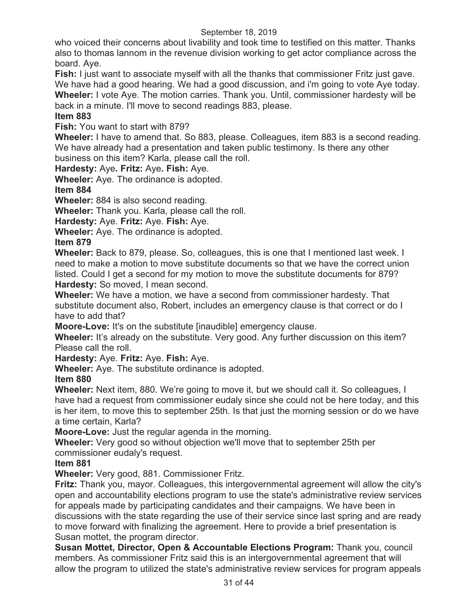who voiced their concerns about livability and took time to testified on this matter. Thanks also to thomas lannom in the revenue division working to get actor compliance across the board. Aye.

**Fish:** I just want to associate myself with all the thanks that commissioner Fritz just gave. We have had a good hearing. We had a good discussion, and i'm going to vote Aye today. **Wheeler:** I vote Aye. The motion carries. Thank you. Until, commissioner hardesty will be

back in a minute. I'll move to second readings 883, please.

# **Item 883**

**Fish:** You want to start with 879?

**Wheeler:** I have to amend that. So 883, please. Colleagues, item 883 is a second reading. We have already had a presentation and taken public testimony. Is there any other business on this item? Karla, please call the roll.

**Hardesty:** Aye**. Fritz:** Aye**. Fish:** Aye.

**Wheeler:** Aye. The ordinance is adopted.

## **Item 884**

**Wheeler:** 884 is also second reading.

**Wheeler:** Thank you. Karla, please call the roll.

**Hardesty:** Aye. **Fritz:** Aye. **Fish:** Aye.

**Wheeler:** Aye. The ordinance is adopted.

# **Item 879**

**Wheeler:** Back to 879, please. So, colleagues, this is one that I mentioned last week. I need to make a motion to move substitute documents so that we have the correct union listed. Could I get a second for my motion to move the substitute documents for 879? **Hardesty:** So moved, I mean second.

**Wheeler:** We have a motion, we have a second from commissioner hardesty. That substitute document also, Robert, includes an emergency clause is that correct or do I have to add that?

**Moore-Love:** It's on the substitute [inaudible] emergency clause.

**Wheeler:** It's already on the substitute. Very good. Any further discussion on this item? Please call the roll.

**Hardesty:** Aye. **Fritz:** Aye. **Fish:** Aye.

**Wheeler:** Aye. The substitute ordinance is adopted.

## **Item 880**

**Wheeler:** Next item, 880. We're going to move it, but we should call it. So colleagues, I have had a request from commissioner eudaly since she could not be here today, and this is her item, to move this to september 25th. Is that just the morning session or do we have a time certain, Karla?

**Moore-Love:** Just the regular agenda in the morning.

**Wheeler:** Very good so without objection we'll move that to september 25th per commissioner eudaly's request.

# **Item 881**

**Wheeler:** Very good, 881. Commissioner Fritz.

**Fritz:** Thank you, mayor. Colleagues, this intergovernmental agreement will allow the city's open and accountability elections program to use the state's administrative review services for appeals made by participating candidates and their campaigns. We have been in discussions with the state regarding the use of their service since last spring and are ready to move forward with finalizing the agreement. Here to provide a brief presentation is Susan mottet, the program director.

**Susan Mottet, Director, Open & Accountable Elections Program:** Thank you, council members. As commissioner Fritz said this is an intergovernmental agreement that will allow the program to utilized the state's administrative review services for program appeals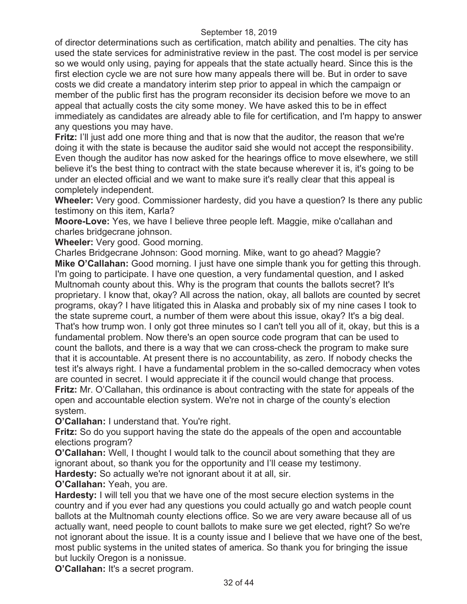of director determinations such as certification, match ability and penalties. The city has used the state services for administrative review in the past. The cost model is per service so we would only using, paying for appeals that the state actually heard. Since this is the first election cycle we are not sure how many appeals there will be. But in order to save costs we did create a mandatory interim step prior to appeal in which the campaign or member of the public first has the program reconsider its decision before we move to an appeal that actually costs the city some money. We have asked this to be in effect immediately as candidates are already able to file for certification, and I'm happy to answer any questions you may have.

**Fritz:** I'll just add one more thing and that is now that the auditor, the reason that we're doing it with the state is because the auditor said she would not accept the responsibility. Even though the auditor has now asked for the hearings office to move elsewhere, we still believe it's the best thing to contract with the state because wherever it is, it's going to be under an elected official and we want to make sure it's really clear that this appeal is completely independent.

**Wheeler:** Very good. Commissioner hardesty, did you have a question? Is there any public testimony on this item, Karla?

**Moore-Love:** Yes, we have I believe three people left. Maggie, mike o'callahan and charles bridgecrane johnson.

**Wheeler:** Very good. Good morning.

Charles Bridgecrane Johnson: Good morning. Mike, want to go ahead? Maggie? **Mike O'Callahan:** Good morning. I just have one simple thank you for getting this through. I'm going to participate. I have one question, a very fundamental question, and I asked Multnomah county about this. Why is the program that counts the ballots secret? It's proprietary. I know that, okay? All across the nation, okay, all ballots are counted by secret programs, okay? I have litigated this in Alaska and probably six of my nine cases I took to the state supreme court, a number of them were about this issue, okay? It's a big deal. That's how trump won. I only got three minutes so I can't tell you all of it, okay, but this is a fundamental problem. Now there's an open source code program that can be used to count the ballots, and there is a way that we can cross-check the program to make sure that it is accountable. At present there is no accountability, as zero. If nobody checks the test it's always right. I have a fundamental problem in the so-called democracy when votes are counted in secret. I would appreciate it if the council would change that process. **Fritz:** Mr. O'Callahan, this ordinance is about contracting with the state for appeals of the open and accountable election system. We're not in charge of the county's election system.

**O'Callahan:** I understand that. You're right.

**Fritz:** So do you support having the state do the appeals of the open and accountable elections program?

**O'Callahan:** Well, I thought I would talk to the council about something that they are ignorant about, so thank you for the opportunity and I'll cease my testimony. **Hardesty:** So actually we're not ignorant about it at all, sir.

**O'Callahan:** Yeah, you are.

**Hardesty:** I will tell you that we have one of the most secure election systems in the country and if you ever had any questions you could actually go and watch people count ballots at the Multnomah county elections office. So we are very aware because all of us actually want, need people to count ballots to make sure we get elected, right? So we're not ignorant about the issue. It is a county issue and I believe that we have one of the best, most public systems in the united states of america. So thank you for bringing the issue but luckily Oregon is a nonissue.

**O'Callahan:** It's a secret program.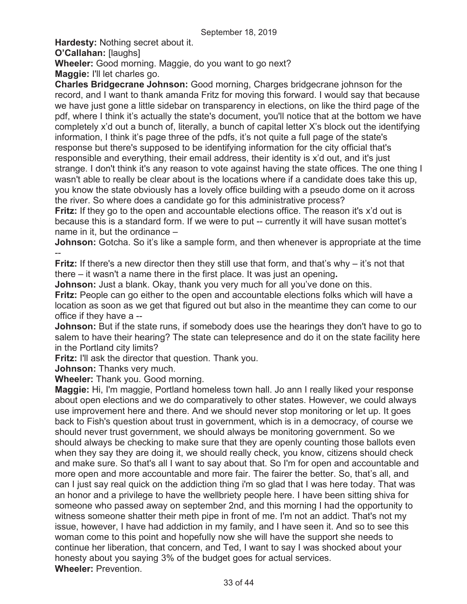**Hardesty:** Nothing secret about it. **O'Callahan:** [laughs]

**Wheeler:** Good morning. Maggie, do you want to go next?

**Maggie:** I'll let charles go.

**Charles Bridgecrane Johnson:** Good morning, Charges bridgecrane johnson for the record, and I want to thank amanda Fritz for moving this forward. I would say that because we have just gone a little sidebar on transparency in elections, on like the third page of the pdf, where I think it's actually the state's document, you'll notice that at the bottom we have completely x'd out a bunch of, literally, a bunch of capital letter X's block out the identifying information, I think it's page three of the pdfs, it's not quite a full page of the state's response but there's supposed to be identifying information for the city official that's responsible and everything, their email address, their identity is x'd out, and it's just strange. I don't think it's any reason to vote against having the state offices. The one thing I wasn't able to really be clear about is the locations where if a candidate does take this up, you know the state obviously has a lovely office building with a pseudo dome on it across the river. So where does a candidate go for this administrative process?

**Fritz:** If they go to the open and accountable elections office. The reason it's x'd out is because this is a standard form. If we were to put -- currently it will have susan mottet's name in it, but the ordinance –

**Johnson:** Gotcha. So it's like a sample form, and then whenever is appropriate at the time --

**Fritz:** If there's a new director then they still use that form, and that's why – it's not that there – it wasn't a name there in the first place. It was just an opening**.** 

**Johnson:** Just a blank. Okay, thank you very much for all you've done on this.

**Fritz:** People can go either to the open and accountable elections folks which will have a location as soon as we get that figured out but also in the meantime they can come to our office if they have a --

**Johnson:** But if the state runs, if somebody does use the hearings they don't have to go to salem to have their hearing? The state can telepresence and do it on the state facility here in the Portland city limits?

**Fritz:** I'll ask the director that question. Thank you.

**Johnson:** Thanks very much.

**Wheeler:** Thank you. Good morning.

**Maggie:** Hi, I'm maggie, Portland homeless town hall. Jo ann I really liked your response about open elections and we do comparatively to other states. However, we could always use improvement here and there. And we should never stop monitoring or let up. It goes back to Fish's question about trust in government, which is in a democracy, of course we should never trust government, we should always be monitoring government. So we should always be checking to make sure that they are openly counting those ballots even when they say they are doing it, we should really check, you know, citizens should check and make sure. So that's all I want to say about that. So I'm for open and accountable and more open and more accountable and more fair. The fairer the better. So, that's all, and can I just say real quick on the addiction thing i'm so glad that I was here today. That was an honor and a privilege to have the wellbriety people here. I have been sitting shiva for someone who passed away on september 2nd, and this morning I had the opportunity to witness someone shatter their meth pipe in front of me. I'm not an addict. That's not my issue, however, I have had addiction in my family, and I have seen it. And so to see this woman come to this point and hopefully now she will have the support she needs to continue her liberation, that concern, and Ted, I want to say I was shocked about your honesty about you saying 3% of the budget goes for actual services. **Wheeler:** Prevention.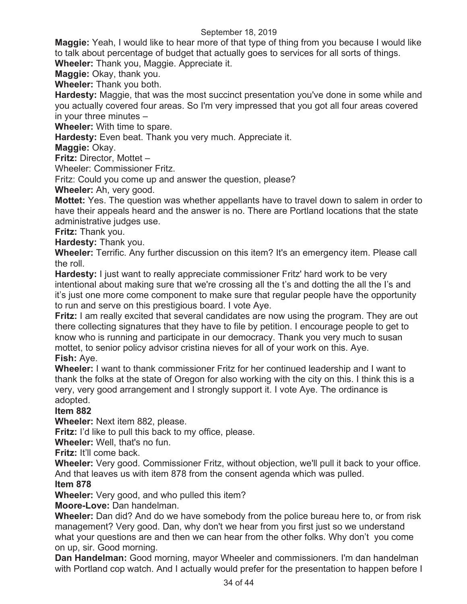**Maggie:** Yeah, I would like to hear more of that type of thing from you because I would like to talk about percentage of budget that actually goes to services for all sorts of things.

**Wheeler:** Thank you, Maggie. Appreciate it.

**Maggie:** Okay, thank you.

**Wheeler:** Thank you both.

**Hardesty:** Maggie, that was the most succinct presentation you've done in some while and you actually covered four areas. So I'm very impressed that you got all four areas covered in your three minutes –

**Wheeler:** With time to spare.

**Hardesty:** Even beat. Thank you very much. Appreciate it.

**Maggie:** Okay.

**Fritz:** Director, Mottet –

Wheeler: Commissioner Fritz.

Fritz: Could you come up and answer the question, please?

**Wheeler:** Ah, very good.

**Mottet:** Yes. The question was whether appellants have to travel down to salem in order to have their appeals heard and the answer is no. There are Portland locations that the state administrative judges use.

**Fritz:** Thank you.

**Hardesty:** Thank you.

**Wheeler:** Terrific. Any further discussion on this item? It's an emergency item. Please call the roll.

**Hardesty:** I just want to really appreciate commissioner Fritz' hard work to be very intentional about making sure that we're crossing all the t's and dotting the all the I's and it's just one more come component to make sure that regular people have the opportunity to run and serve on this prestigious board. I vote Aye.

**Fritz:** I am really excited that several candidates are now using the program. They are out there collecting signatures that they have to file by petition. I encourage people to get to know who is running and participate in our democracy. Thank you very much to susan mottet, to senior policy advisor cristina nieves for all of your work on this. Aye.

**Fish:** Aye.

**Wheeler:** I want to thank commissioner Fritz for her continued leadership and I want to thank the folks at the state of Oregon for also working with the city on this. I think this is a very, very good arrangement and I strongly support it. I vote Aye. The ordinance is adopted.

## **Item 882**

**Wheeler:** Next item 882, please.

**Fritz:** I'd like to pull this back to my office, please.

**Wheeler:** Well, that's no fun.

**Fritz:** It'll come back.

**Wheeler:** Very good. Commissioner Fritz, without objection, we'll pull it back to your office. And that leaves us with item 878 from the consent agenda which was pulled.

### **Item 878**

**Wheeler:** Very good, and who pulled this item?

**Moore-Love:** Dan handelman.

**Wheeler:** Dan did? And do we have somebody from the police bureau here to, or from risk management? Very good. Dan, why don't we hear from you first just so we understand what your questions are and then we can hear from the other folks. Why don't you come on up, sir. Good morning.

**Dan Handelman:** Good morning, mayor Wheeler and commissioners. I'm dan handelman with Portland cop watch. And I actually would prefer for the presentation to happen before I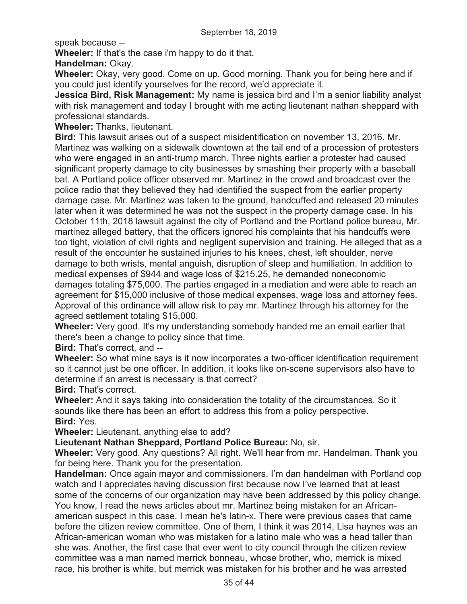speak because --

**Wheeler:** If that's the case i'm happy to do it that.

**Handelman:** Okay.

**Wheeler:** Okay, very good. Come on up. Good morning. Thank you for being here and if you could just identify yourselves for the record, we'd appreciate it.

**Jessica Bird, Risk Management:** My name is jessica bird and I'm a senior liability analyst with risk management and today I brought with me acting lieutenant nathan sheppard with professional standards.

**Wheeler:** Thanks, lieutenant.

**Bird:** This lawsuit arises out of a suspect misidentification on november 13, 2016. Mr. Martinez was walking on a sidewalk downtown at the tail end of a procession of protesters who were engaged in an anti-trump march. Three nights earlier a protester had caused significant property damage to city businesses by smashing their property with a baseball bat. A Portland police officer observed mr. Martinez in the crowd and broadcast over the police radio that they believed they had identified the suspect from the earlier property damage case. Mr. Martinez was taken to the ground, handcuffed and released 20 minutes later when it was determined he was not the suspect in the property damage case. In his October 11th, 2018 lawsuit against the city of Portland and the Portland police bureau, Mr. martinez alleged battery, that the officers ignored his complaints that his handcuffs were too tight, violation of civil rights and negligent supervision and training. He alleged that as a result of the encounter he sustained injuries to his knees, chest, left shoulder, nerve damage to both wrists, mental anguish, disruption of sleep and humiliation. In addition to medical expenses of \$944 and wage loss of \$215.25, he demanded noneconomic damages totaling \$75,000. The parties engaged in a mediation and were able to reach an agreement for \$15,000 inclusive of those medical expenses, wage loss and attorney fees. Approval of this ordinance will allow risk to pay mr. Martinez through his attorney for the agreed settlement totaling \$15,000.

**Wheeler:** Very good. It's my understanding somebody handed me an email earlier that there's been a change to policy since that time.

**Bird:** That's correct, and --

**Wheeler:** So what mine says is it now incorporates a two-officer identification requirement so it cannot just be one officer. In addition, it looks like on-scene supervisors also have to determine if an arrest is necessary is that correct?

**Bird:** That's correct.

**Wheeler:** And it says taking into consideration the totality of the circumstances. So it sounds like there has been an effort to address this from a policy perspective. **Bird:** Yes.

**Wheeler:** Lieutenant, anything else to add?

**Lieutenant Nathan Sheppard, Portland Police Bureau:** No, sir.

**Wheeler:** Very good. Any questions? All right. We'll hear from mr. Handelman. Thank you for being here. Thank you for the presentation.

**Handelman:** Once again mayor and commissioners. I'm dan handelman with Portland cop watch and I appreciates having discussion first because now I've learned that at least some of the concerns of our organization may have been addressed by this policy change. You know, I read the news articles about mr. Martinez being mistaken for an Africanamerican suspect in this case. I mean he's latin-x. There were previous cases that came before the citizen review committee. One of them, I think it was 2014, Lisa haynes was an African-american woman who was mistaken for a latino male who was a head taller than she was. Another, the first case that ever went to city council through the citizen review committee was a man named merrick bonneau, whose brother, who, merrick is mixed race, his brother is white, but merrick was mistaken for his brother and he was arrested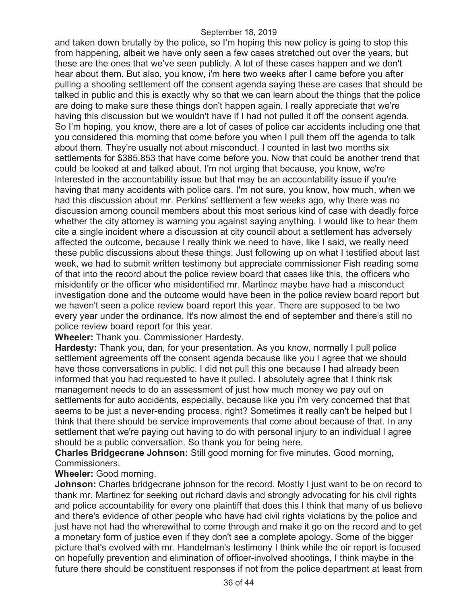and taken down brutally by the police, so I'm hoping this new policy is going to stop this from happening, albeit we have only seen a few cases stretched out over the years, but these are the ones that we've seen publicly. A lot of these cases happen and we don't hear about them. But also, you know, i'm here two weeks after I came before you after pulling a shooting settlement off the consent agenda saying these are cases that should be talked in public and this is exactly why so that we can learn about the things that the police are doing to make sure these things don't happen again. I really appreciate that we're having this discussion but we wouldn't have if I had not pulled it off the consent agenda. So I'm hoping, you know, there are a lot of cases of police car accidents including one that you considered this morning that come before you when I pull them off the agenda to talk about them. They're usually not about misconduct. I counted in last two months six settlements for \$385,853 that have come before you. Now that could be another trend that could be looked at and talked about. I'm not urging that because, you know, we're interested in the accountability issue but that may be an accountability issue if you're having that many accidents with police cars. I'm not sure, you know, how much, when we had this discussion about mr. Perkins' settlement a few weeks ago, why there was no discussion among council members about this most serious kind of case with deadly force whether the city attorney is warning you against saying anything. I would like to hear them cite a single incident where a discussion at city council about a settlement has adversely affected the outcome, because I really think we need to have, like I said, we really need these public discussions about these things. Just following up on what I testified about last week, we had to submit written testimony but appreciate commissioner Fish reading some of that into the record about the police review board that cases like this, the officers who misidentify or the officer who misidentified mr. Martinez maybe have had a misconduct investigation done and the outcome would have been in the police review board report but we haven't seen a police review board report this year. There are supposed to be two every year under the ordinance. It's now almost the end of september and there's still no police review board report for this year.

**Wheeler:** Thank you. Commissioner Hardesty.

**Hardesty:** Thank you, dan, for your presentation. As you know, normally I pull police settlement agreements off the consent agenda because like you I agree that we should have those conversations in public. I did not pull this one because I had already been informed that you had requested to have it pulled. I absolutely agree that I think risk management needs to do an assessment of just how much money we pay out on settlements for auto accidents, especially, because like you i'm very concerned that that seems to be just a never-ending process, right? Sometimes it really can't be helped but I think that there should be service improvements that come about because of that. In any settlement that we're paying out having to do with personal injury to an individual I agree should be a public conversation. So thank you for being here.

**Charles Bridgecrane Johnson:** Still good morning for five minutes. Good morning, Commissioners.

## **Wheeler:** Good morning.

**Johnson:** Charles bridgecrane johnson for the record. Mostly I just want to be on record to thank mr. Martinez for seeking out richard davis and strongly advocating for his civil rights and police accountability for every one plaintiff that does this I think that many of us believe and there's evidence of other people who have had civil rights violations by the police and just have not had the wherewithal to come through and make it go on the record and to get a monetary form of justice even if they don't see a complete apology. Some of the bigger picture that's evolved with mr. Handelman's testimony I think while the oir report is focused on hopefully prevention and elimination of officer-involved shootings, I think maybe in the future there should be constituent responses if not from the police department at least from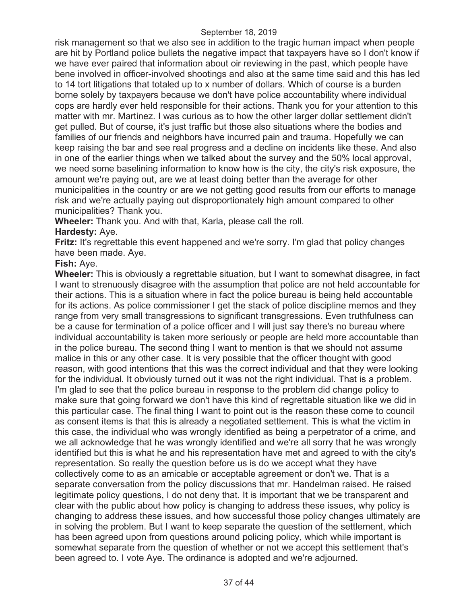risk management so that we also see in addition to the tragic human impact when people are hit by Portland police bullets the negative impact that taxpayers have so I don't know if we have ever paired that information about oir reviewing in the past, which people have bene involved in officer-involved shootings and also at the same time said and this has led to 14 tort litigations that totaled up to x number of dollars. Which of course is a burden borne solely by taxpayers because we don't have police accountability where individual cops are hardly ever held responsible for their actions. Thank you for your attention to this matter with mr. Martinez. I was curious as to how the other larger dollar settlement didn't get pulled. But of course, it's just traffic but those also situations where the bodies and families of our friends and neighbors have incurred pain and trauma. Hopefully we can keep raising the bar and see real progress and a decline on incidents like these. And also in one of the earlier things when we talked about the survey and the 50% local approval, we need some baselining information to know how is the city, the city's risk exposure, the amount we're paying out, are we at least doing better than the average for other municipalities in the country or are we not getting good results from our efforts to manage risk and we're actually paying out disproportionately high amount compared to other municipalities? Thank you.

**Wheeler:** Thank you. And with that, Karla, please call the roll.

## **Hardesty:** Aye.

**Fritz:** It's regrettable this event happened and we're sorry. I'm glad that policy changes have been made. Aye.

## **Fish:** Aye.

**Wheeler:** This is obviously a regrettable situation, but I want to somewhat disagree, in fact I want to strenuously disagree with the assumption that police are not held accountable for their actions. This is a situation where in fact the police bureau is being held accountable for its actions. As police commissioner I get the stack of police discipline memos and they range from very small transgressions to significant transgressions. Even truthfulness can be a cause for termination of a police officer and I will just say there's no bureau where individual accountability is taken more seriously or people are held more accountable than in the police bureau. The second thing I want to mention is that we should not assume malice in this or any other case. It is very possible that the officer thought with good reason, with good intentions that this was the correct individual and that they were looking for the individual. It obviously turned out it was not the right individual. That is a problem. I'm glad to see that the police bureau in response to the problem did change policy to make sure that going forward we don't have this kind of regrettable situation like we did in this particular case. The final thing I want to point out is the reason these come to council as consent items is that this is already a negotiated settlement. This is what the victim in this case, the individual who was wrongly identified as being a perpetrator of a crime, and we all acknowledge that he was wrongly identified and we're all sorry that he was wrongly identified but this is what he and his representation have met and agreed to with the city's representation. So really the question before us is do we accept what they have collectively come to as an amicable or acceptable agreement or don't we. That is a separate conversation from the policy discussions that mr. Handelman raised. He raised legitimate policy questions, I do not deny that. It is important that we be transparent and clear with the public about how policy is changing to address these issues, why policy is changing to address these issues, and how successful those policy changes ultimately are in solving the problem. But I want to keep separate the question of the settlement, which has been agreed upon from questions around policing policy, which while important is somewhat separate from the question of whether or not we accept this settlement that's been agreed to. I vote Aye. The ordinance is adopted and we're adjourned.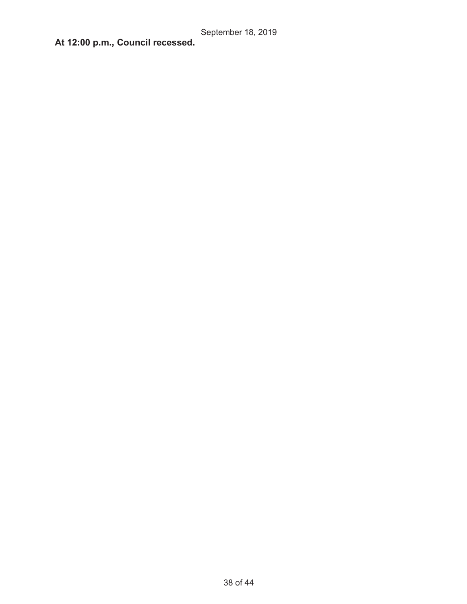**At 12:00 p.m., Council recessed.**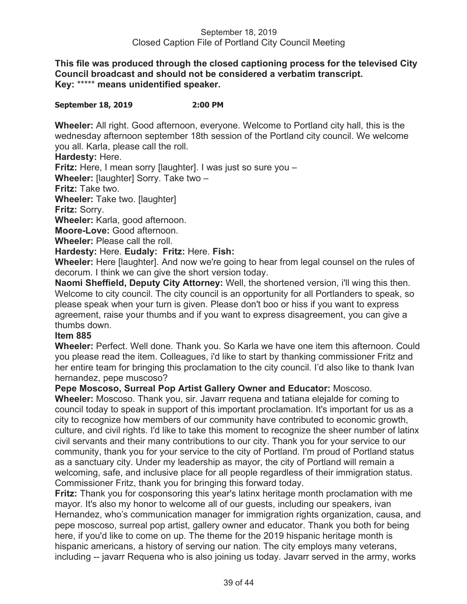**This file was produced through the closed captioning process for the televised City Council broadcast and should not be considered a verbatim transcript. Key:** \*\*\*\*\* **means unidentified speaker.** 

### **September 18, 2019 2:00 PM**

**Wheeler:** All right. Good afternoon, everyone. Welcome to Portland city hall, this is the wednesday afternoon september 18th session of the Portland city council. We welcome you all. Karla, please call the roll.

**Hardesty:** Here.

**Fritz:** Here, I mean sorry [laughter]. I was just so sure you –

**Wheeler:** [laughter] Sorry. Take two –

**Fritz:** Take two.

**Wheeler:** Take two. [laughter]

**Fritz:** Sorry.

**Wheeler:** Karla, good afternoon.

**Moore-Love:** Good afternoon.

**Wheeler:** Please call the roll.

**Hardesty:** Here. **Eudaly: Fritz:** Here. **Fish:**

**Wheeler:** Here [laughter]. And now we're going to hear from legal counsel on the rules of decorum. I think we can give the short version today.

**Naomi Sheffield, Deputy City Attorney:** Well, the shortened version, i'll wing this then. Welcome to city council. The city council is an opportunity for all Portlanders to speak, so please speak when your turn is given. Please don't boo or hiss if you want to express agreement, raise your thumbs and if you want to express disagreement, you can give a thumbs down.

### **Item 885**

**Wheeler:** Perfect. Well done. Thank you. So Karla we have one item this afternoon. Could you please read the item. Colleagues, i'd like to start by thanking commissioner Fritz and her entire team for bringing this proclamation to the city council. I'd also like to thank Ivan hernandez, pepe muscoso?

**Pepe Moscoso, Surreal Pop Artist Gallery Owner and Educator:** Moscoso.

**Wheeler:** Moscoso. Thank you, sir. Javarr requena and tatiana elejalde for coming to council today to speak in support of this important proclamation. It's important for us as a city to recognize how members of our community have contributed to economic growth, culture, and civil rights. I'd like to take this moment to recognize the sheer number of latinx civil servants and their many contributions to our city. Thank you for your service to our community, thank you for your service to the city of Portland. I'm proud of Portland status as a sanctuary city. Under my leadership as mayor, the city of Portland will remain a welcoming, safe, and inclusive place for all people regardless of their immigration status. Commissioner Fritz, thank you for bringing this forward today.

**Fritz:** Thank you for cosponsoring this year's latinx heritage month proclamation with me mayor. It's also my honor to welcome all of our guests, including our speakers, ivan Hernandez, who's communication manager for immigration rights organization, causa, and pepe moscoso, surreal pop artist, gallery owner and educator. Thank you both for being here, if you'd like to come on up. The theme for the 2019 hispanic heritage month is hispanic americans, a history of serving our nation. The city employs many veterans, including -- javarr Requena who is also joining us today. Javarr served in the army, works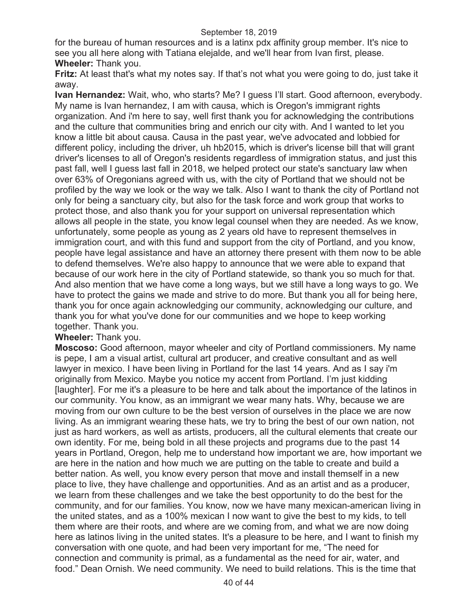for the bureau of human resources and is a latinx pdx affinity group member. It's nice to see you all here along with Tatiana elejalde, and we'll hear from Ivan first, please. **Wheeler:** Thank you.

**Fritz:** At least that's what my notes say. If that's not what you were going to do, just take it away.

**Ivan Hernandez:** Wait, who, who starts? Me? I guess I'll start. Good afternoon, everybody. My name is Ivan hernandez, I am with causa, which is Oregon's immigrant rights organization. And i'm here to say, well first thank you for acknowledging the contributions and the culture that communities bring and enrich our city with. And I wanted to let you know a little bit about causa. Causa in the past year, we've advocated and lobbied for different policy, including the driver, uh hb2015, which is driver's license bill that will grant driver's licenses to all of Oregon's residents regardless of immigration status, and just this past fall, well I guess last fall in 2018, we helped protect our state's sanctuary law when over 63% of Oregonians agreed with us, with the city of Portland that we should not be profiled by the way we look or the way we talk. Also I want to thank the city of Portland not only for being a sanctuary city, but also for the task force and work group that works to protect those, and also thank you for your support on universal representation which allows all people in the state, you know legal counsel when they are needed. As we know, unfortunately, some people as young as 2 years old have to represent themselves in immigration court, and with this fund and support from the city of Portland, and you know, people have legal assistance and have an attorney there present with them now to be able to defend themselves. We're also happy to announce that we were able to expand that because of our work here in the city of Portland statewide, so thank you so much for that. And also mention that we have come a long ways, but we still have a long ways to go. We have to protect the gains we made and strive to do more. But thank you all for being here, thank you for once again acknowledging our community, acknowledging our culture, and thank you for what you've done for our communities and we hope to keep working together. Thank you.

## **Wheeler:** Thank you.

**Moscoso:** Good afternoon, mayor wheeler and city of Portland commissioners. My name is pepe, I am a visual artist, cultural art producer, and creative consultant and as well lawyer in mexico. I have been living in Portland for the last 14 years. And as I say i'm originally from Mexico. Maybe you notice my accent from Portland. I'm just kidding [laughter]. For me it's a pleasure to be here and talk about the importance of the latinos in our community. You know, as an immigrant we wear many hats. Why, because we are moving from our own culture to be the best version of ourselves in the place we are now living. As an immigrant wearing these hats, we try to bring the best of our own nation, not just as hard workers, as well as artists, producers, all the cultural elements that create our own identity. For me, being bold in all these projects and programs due to the past 14 years in Portland, Oregon, help me to understand how important we are, how important we are here in the nation and how much we are putting on the table to create and build a better nation. As well, you know every person that move and install themself in a new place to live, they have challenge and opportunities. And as an artist and as a producer, we learn from these challenges and we take the best opportunity to do the best for the community, and for our families. You know, now we have many mexican-american living in the united states, and as a 100% mexican I now want to give the best to my kids, to tell them where are their roots, and where are we coming from, and what we are now doing here as latinos living in the united states. It's a pleasure to be here, and I want to finish my conversation with one quote, and had been very important for me, "The need for connection and community is primal, as a fundamental as the need for air, water, and food." Dean Ornish. We need community. We need to build relations. This is the time that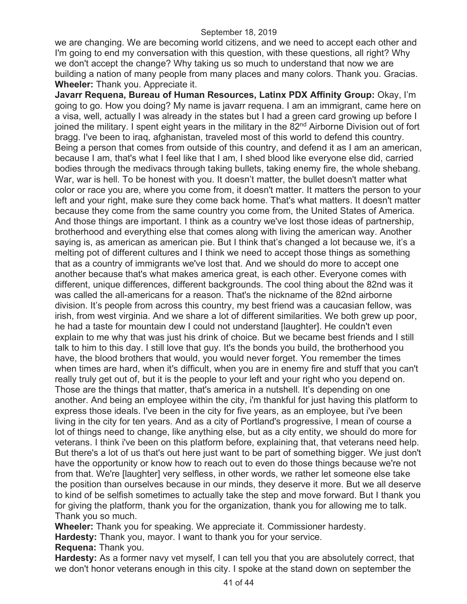we are changing. We are becoming world citizens, and we need to accept each other and I'm going to end my conversation with this question, with these questions, all right? Why we don't accept the change? Why taking us so much to understand that now we are building a nation of many people from many places and many colors. Thank you. Gracias. **Wheeler:** Thank you. Appreciate it.

**Javarr Requena, Bureau of Human Resources, Latinx PDX Affinity Group:** Okay, I'm going to go. How you doing? My name is javarr requena. I am an immigrant, came here on a visa, well, actually I was already in the states but I had a green card growing up before I joined the military. I spent eight years in the military in the 82<sup>nd</sup> Airborne Division out of fort bragg. I've been to iraq, afghanistan, traveled most of this world to defend this country. Being a person that comes from outside of this country, and defend it as I am an american, because I am, that's what I feel like that I am, I shed blood like everyone else did, carried bodies through the medivacs through taking bullets, taking enemy fire, the whole shebang. War, war is hell. To be honest with you. It doesn't matter, the bullet doesn't matter what color or race you are, where you come from, it doesn't matter. It matters the person to your left and your right, make sure they come back home. That's what matters. It doesn't matter because they come from the same country you come from, the United States of America. And those things are important. I think as a country we've lost those ideas of partnership, brotherhood and everything else that comes along with living the american way. Another saying is, as american as american pie. But I think that's changed a lot because we, it's a melting pot of different cultures and I think we need to accept those things as something that as a country of immigrants we've lost that. And we should do more to accept one another because that's what makes america great, is each other. Everyone comes with different, unique differences, different backgrounds. The cool thing about the 82nd was it was called the all-americans for a reason. That's the nickname of the 82nd airborne division. It's people from across this country, my best friend was a caucasian fellow, was irish, from west virginia. And we share a lot of different similarities. We both grew up poor, he had a taste for mountain dew I could not understand [laughter]. He couldn't even explain to me why that was just his drink of choice. But we became best friends and I still talk to him to this day. I still love that guy. It's the bonds you build, the brotherhood you have, the blood brothers that would, you would never forget. You remember the times when times are hard, when it's difficult, when you are in enemy fire and stuff that you can't really truly get out of, but it is the people to your left and your right who you depend on. Those are the things that matter, that's america in a nutshell. It's depending on one another. And being an employee within the city, i'm thankful for just having this platform to express those ideals. I've been in the city for five years, as an employee, but i've been living in the city for ten years. And as a city of Portland's progressive, I mean of course a lot of things need to change, like anything else, but as a city entity, we should do more for veterans. I think i've been on this platform before, explaining that, that veterans need help. But there's a lot of us that's out here just want to be part of something bigger. We just don't have the opportunity or know how to reach out to even do those things because we're not from that. We're [laughter] very selfless, in other words, we rather let someone else take the position than ourselves because in our minds, they deserve it more. But we all deserve to kind of be selfish sometimes to actually take the step and move forward. But I thank you for giving the platform, thank you for the organization, thank you for allowing me to talk. Thank you so much.

**Wheeler:** Thank you for speaking. We appreciate it. Commissioner hardesty.

**Hardesty:** Thank you, mayor. I want to thank you for your service.

**Requena:** Thank you.

**Hardesty:** As a former navy vet myself, I can tell you that you are absolutely correct, that we don't honor veterans enough in this city. I spoke at the stand down on september the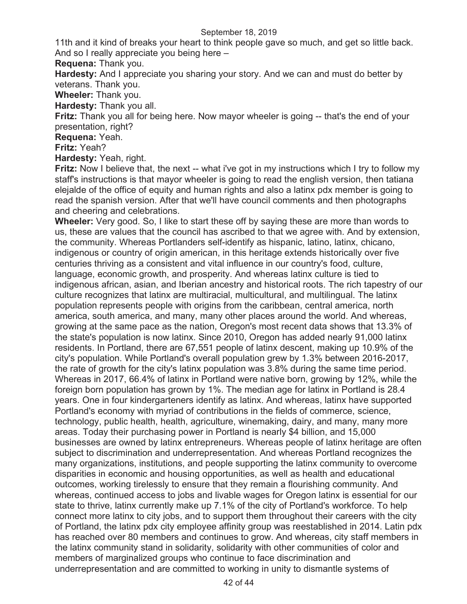11th and it kind of breaks your heart to think people gave so much, and get so little back. And so I really appreciate you being here –

**Requena:** Thank you.

**Hardesty:** And I appreciate you sharing your story. And we can and must do better by veterans. Thank you.

**Wheeler:** Thank you.

**Hardesty:** Thank you all.

**Fritz:** Thank you all for being here. Now mayor wheeler is going -- that's the end of your presentation, right?

**Requena:** Yeah.

**Fritz:** Yeah?

**Hardesty:** Yeah, right.

**Fritz:** Now I believe that, the next -- what i've got in my instructions which I try to follow my staff's instructions is that mayor wheeler is going to read the english version, then tatiana elejalde of the office of equity and human rights and also a latinx pdx member is going to read the spanish version. After that we'll have council comments and then photographs and cheering and celebrations.

**Wheeler:** Very good. So, I like to start these off by saying these are more than words to us, these are values that the council has ascribed to that we agree with. And by extension, the community. Whereas Portlanders self-identify as hispanic, latino, latinx, chicano, indigenous or country of origin american, in this heritage extends historically over five centuries thriving as a consistent and vital influence in our country's food, culture, language, economic growth, and prosperity. And whereas latinx culture is tied to indigenous african, asian, and Iberian ancestry and historical roots. The rich tapestry of our culture recognizes that latinx are multiracial, multicultural, and multilingual. The latinx population represents people with origins from the caribbean, central america, north america, south america, and many, many other places around the world. And whereas, growing at the same pace as the nation, Oregon's most recent data shows that 13.3% of the state's population is now latinx. Since 2010, Oregon has added nearly 91,000 latinx residents. In Portland, there are 67,551 people of latinx descent, making up 10.9% of the city's population. While Portland's overall population grew by 1.3% between 2016-2017, the rate of growth for the city's latinx population was 3.8% during the same time period. Whereas in 2017, 66.4% of latinx in Portland were native born, growing by 12%, while the foreign born population has grown by 1%. The median age for latinx in Portland is 28.4 years. One in four kindergarteners identify as latinx. And whereas, latinx have supported Portland's economy with myriad of contributions in the fields of commerce, science, technology, public health, health, agriculture, winemaking, dairy, and many, many more areas. Today their purchasing power in Portland is nearly \$4 billion, and 15,000 businesses are owned by latinx entrepreneurs. Whereas people of latinx heritage are often subject to discrimination and underrepresentation. And whereas Portland recognizes the many organizations, institutions, and people supporting the latinx community to overcome disparities in economic and housing opportunities, as well as health and educational outcomes, working tirelessly to ensure that they remain a flourishing community. And whereas, continued access to jobs and livable wages for Oregon latinx is essential for our state to thrive, latinx currently make up 7.1% of the city of Portland's workforce. To help connect more latinx to city jobs, and to support them throughout their careers with the city of Portland, the latinx pdx city employee affinity group was reestablished in 2014. Latin pdx has reached over 80 members and continues to grow. And whereas, city staff members in the latinx community stand in solidarity, solidarity with other communities of color and members of marginalized groups who continue to face discrimination and underrepresentation and are committed to working in unity to dismantle systems of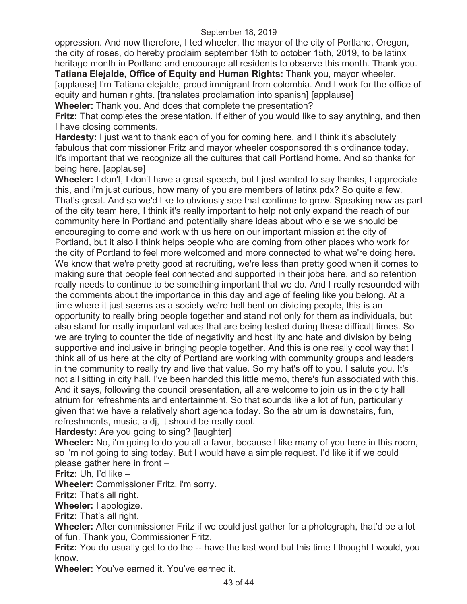oppression. And now therefore, I ted wheeler, the mayor of the city of Portland, Oregon, the city of roses, do hereby proclaim september 15th to october 15th, 2019, to be latinx heritage month in Portland and encourage all residents to observe this month. Thank you.

**Tatiana Elejalde, Office of Equity and Human Rights:** Thank you, mayor wheeler. [applause] I'm Tatiana elejalde, proud immigrant from colombia. And I work for the office of equity and human rights. [translates proclamation into spanish] [applause] **Wheeler:** Thank you. And does that complete the presentation?

**Fritz:** That completes the presentation. If either of you would like to say anything, and then I have closing comments.

**Hardesty:** I just want to thank each of you for coming here, and I think it's absolutely fabulous that commissioner Fritz and mayor wheeler cosponsored this ordinance today. It's important that we recognize all the cultures that call Portland home. And so thanks for being here. [applause]

**Wheeler:** I don't, I don't have a great speech, but I just wanted to say thanks, I appreciate this, and i'm just curious, how many of you are members of latinx pdx? So quite a few. That's great. And so we'd like to obviously see that continue to grow. Speaking now as part of the city team here, I think it's really important to help not only expand the reach of our community here in Portland and potentially share ideas about who else we should be encouraging to come and work with us here on our important mission at the city of Portland, but it also I think helps people who are coming from other places who work for the city of Portland to feel more welcomed and more connected to what we're doing here. We know that we're pretty good at recruiting, we're less than pretty good when it comes to making sure that people feel connected and supported in their jobs here, and so retention really needs to continue to be something important that we do. And I really resounded with the comments about the importance in this day and age of feeling like you belong. At a time where it just seems as a society we're hell bent on dividing people, this is an opportunity to really bring people together and stand not only for them as individuals, but also stand for really important values that are being tested during these difficult times. So we are trying to counter the tide of negativity and hostility and hate and division by being supportive and inclusive in bringing people together. And this is one really cool way that I think all of us here at the city of Portland are working with community groups and leaders in the community to really try and live that value. So my hat's off to you. I salute you. It's not all sitting in city hall. I've been handed this little memo, there's fun associated with this. And it says, following the council presentation, all are welcome to join us in the city hall atrium for refreshments and entertainment. So that sounds like a lot of fun, particularly given that we have a relatively short agenda today. So the atrium is downstairs, fun, refreshments, music, a dj, it should be really cool.

**Hardesty:** Are you going to sing? [laughter]

**Wheeler:** No, i'm going to do you all a favor, because I like many of you here in this room, so i'm not going to sing today. But I would have a simple request. I'd like it if we could please gather here in front –

**Fritz:** Uh, I'd like –

**Wheeler:** Commissioner Fritz, i'm sorry.

**Fritz:** That's all right.

**Wheeler:** I apologize.

**Fritz:** That's all right.

**Wheeler:** After commissioner Fritz if we could just gather for a photograph, that'd be a lot of fun. Thank you, Commissioner Fritz.

**Fritz:** You do usually get to do the -- have the last word but this time I thought I would, you know.

**Wheeler:** You've earned it. You've earned it.